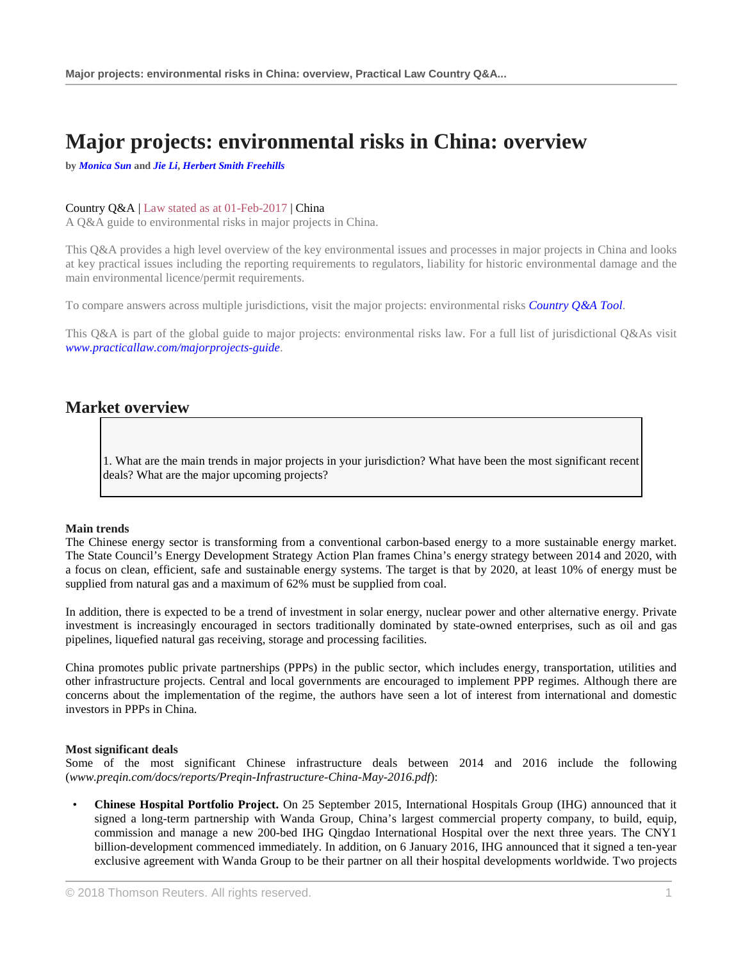# **Major projects: environmental risks in China: overview**

**by** *[Monica Sun](http://uk.practicallaw.thomsonreuters.com/6-638-7709?originationContext=document&vr=3.0&rs=PLUK1.0&transitionType=DocumentItem&contextData=(sc.Default)#co_anchor_a450846)* **and** *[Jie Li](http://uk.practicallaw.thomsonreuters.com/6-638-7709?originationContext=document&vr=3.0&rs=PLUK1.0&transitionType=DocumentItem&contextData=(sc.Default)#co_anchor_a223947)***,** *[Herbert Smith Freehills](https://uk.practicallaw.thomsonreuters.com/Browse/Home/About/Contributor/HerbertSmithFreehills)*

### Country Q&A | Law stated as at 01-Feb-2017 | China

A Q&A guide to environmental risks in major projects in China.

This Q&A provides a high level overview of the key environmental issues and processes in major projects in China and looks at key practical issues including the reporting requirements to regulators, liability for historic environmental damage and the main environmental licence/permit requirements.

To compare answers across multiple jurisdictions, visit the major projects: environmental risks *[Country Q&A Tool](https://uk.practicallaw.thomsonreuters.com/QACompare/Builder/Country)*.

This Q&A is part of the global guide to major projects: environmental risks law. For a full list of jurisdictional Q&As visit *[www.practicallaw.com/majorprojects-guide](https://uk.practicallaw.thomsonreuters.com/Browse/Home/International/EnvironmentalRisksinMajorProjectsGlobalGuide)*.

# **Market overview**

1. What are the main trends in major projects in your jurisdiction? What have been the most significant recent deals? What are the major upcoming projects?

### **Main trends**

The Chinese energy sector is transforming from a conventional carbon-based energy to a more sustainable energy market. The State Council's Energy Development Strategy Action Plan frames China's energy strategy between 2014 and 2020, with a focus on clean, efficient, safe and sustainable energy systems. The target is that by 2020, at least 10% of energy must be supplied from natural gas and a maximum of 62% must be supplied from coal.

In addition, there is expected to be a trend of investment in solar energy, nuclear power and other alternative energy. Private investment is increasingly encouraged in sectors traditionally dominated by state-owned enterprises, such as oil and gas pipelines, liquefied natural gas receiving, storage and processing facilities.

China promotes public private partnerships (PPPs) in the public sector, which includes energy, transportation, utilities and other infrastructure projects. Central and local governments are encouraged to implement PPP regimes. Although there are concerns about the implementation of the regime, the authors have seen a lot of interest from international and domestic investors in PPPs in China.

#### **Most significant deals**

Some of the most significant Chinese infrastructure deals between 2014 and 2016 include the following (*www.preqin.com/docs/reports/Preqin-Infrastructure-China-May-2016.pdf*):

• **Chinese Hospital Portfolio Project.** On 25 September 2015, International Hospitals Group (IHG) announced that it signed a long-term partnership with Wanda Group, China's largest commercial property company, to build, equip, commission and manage a new 200-bed IHG Qingdao International Hospital over the next three years. The CNY1 billion-development commenced immediately. In addition, on 6 January 2016, IHG announced that it signed a ten-year exclusive agreement with Wanda Group to be their partner on all their hospital developments worldwide. Two projects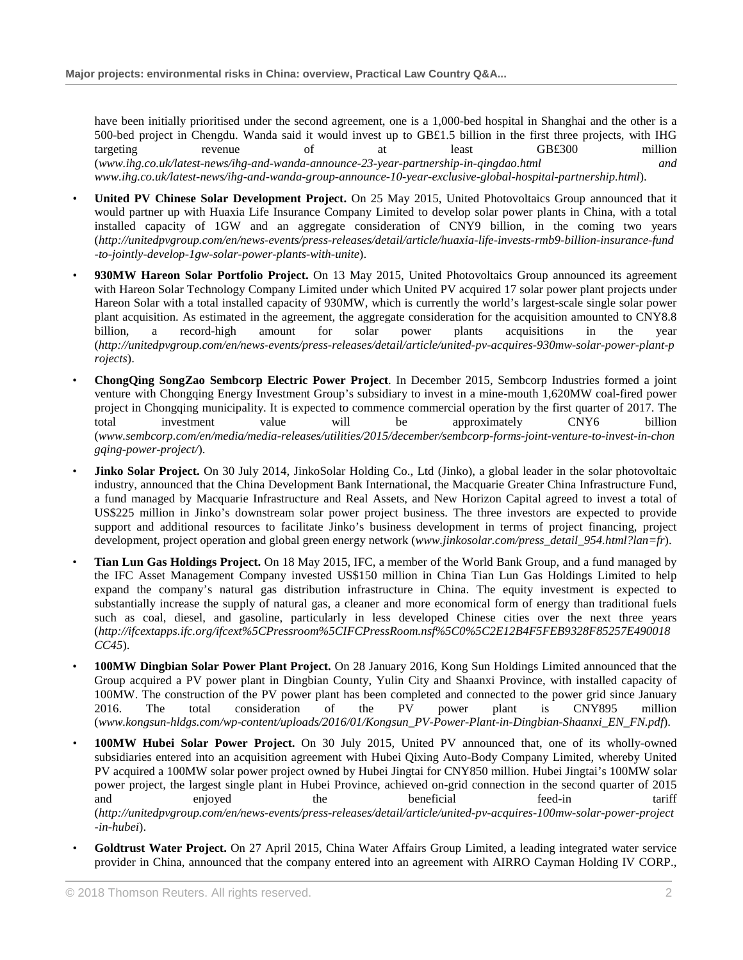have been initially prioritised under the second agreement, one is a 1,000-bed hospital in Shanghai and the other is a 500-bed project in Chengdu. Wanda said it would invest up to GB£1.5 billion in the first three projects, with IHG targeting revenue of at least GB£300 million (*www.ihg.co.uk/latest-news/ihg-and-wanda-announce-23-year-partnership-in-qingdao.html and www.ihg.co.uk/latest-news/ihg-and-wanda-group-announce-10-year-exclusive-global-hospital-partnership.html*).

- **United PV Chinese Solar Development Project.** On 25 May 2015, United Photovoltaics Group announced that it would partner up with Huaxia Life Insurance Company Limited to develop solar power plants in China, with a total installed capacity of 1GW and an aggregate consideration of CNY9 billion, in the coming two years (*http://unitedpvgroup.com/en/news-events/press-releases/detail/article/huaxia-life-invests-rmb9-billion-insurance-fund -to-jointly-develop-1gw-solar-power-plants-with-unite*).
- **930MW Hareon Solar Portfolio Project.** On 13 May 2015, United Photovoltaics Group announced its agreement with Hareon Solar Technology Company Limited under which United PV acquired 17 solar power plant projects under Hareon Solar with a total installed capacity of 930MW, which is currently the world's largest-scale single solar power plant acquisition. As estimated in the agreement, the aggregate consideration for the acquisition amounted to CNY8.8 billion, a record-high amount for solar power plants acquisitions in the year (*http://unitedpvgroup.com/en/news-events/press-releases/detail/article/united-pv-acquires-930mw-solar-power-plant-p rojects*).
- **ChongQing SongZao Sembcorp Electric Power Project**. In December 2015, Sembcorp Industries formed a joint venture with Chongqing Energy Investment Group's subsidiary to invest in a mine-mouth 1,620MW coal-fired power project in Chongqing municipality. It is expected to commence commercial operation by the first quarter of 2017. The total investment value will be approximately CNY6 billion (*www.sembcorp.com/en/media/media-releases/utilities/2015/december/sembcorp-forms-joint-venture-to-invest-in-chon gqing-power-project/*).
- **Jinko Solar Project.** On 30 July 2014, JinkoSolar Holding Co., Ltd (Jinko), a global leader in the solar photovoltaic industry, announced that the China Development Bank International, the Macquarie Greater China Infrastructure Fund, a fund managed by Macquarie Infrastructure and Real Assets, and New Horizon Capital agreed to invest a total of US\$225 million in Jinko's downstream solar power project business. The three investors are expected to provide support and additional resources to facilitate Jinko's business development in terms of project financing, project development, project operation and global green energy network (*www.jinkosolar.com/press\_detail\_954.html?lan=fr*).
- **Tian Lun Gas Holdings Project.** On 18 May 2015, IFC, a member of the World Bank Group, and a fund managed by the IFC Asset Management Company invested US\$150 million in China Tian Lun Gas Holdings Limited to help expand the company's natural gas distribution infrastructure in China. The equity investment is expected to substantially increase the supply of natural gas, a cleaner and more economical form of energy than traditional fuels such as coal, diesel, and gasoline, particularly in less developed Chinese cities over the next three years (*http://ifcextapps.ifc.org/ifcext%5CPressroom%5CIFCPressRoom.nsf%5C0%5C2E12B4F5FEB9328F85257E490018 CC45*).
- **100MW Dingbian Solar Power Plant Project.** On 28 January 2016, Kong Sun Holdings Limited announced that the Group acquired a PV power plant in Dingbian County, Yulin City and Shaanxi Province, with installed capacity of 100MW. The construction of the PV power plant has been completed and connected to the power grid since January 2016. The total consideration of the PV power plant is CNY895 million (*www.kongsun-hldgs.com/wp-content/uploads/2016/01/Kongsun\_PV-Power-Plant-in-Dingbian-Shaanxi\_EN\_FN.pdf*).
- **100MW Hubei Solar Power Project.** On 30 July 2015, United PV announced that, one of its wholly-owned subsidiaries entered into an acquisition agreement with Hubei Qixing Auto-Body Company Limited, whereby United PV acquired a 100MW solar power project owned by Hubei Jingtai for CNY850 million. Hubei Jingtai's 100MW solar power project, the largest single plant in Hubei Province, achieved on-grid connection in the second quarter of 2015 and enjoyed the beneficial feed-in tariff (*http://unitedpvgroup.com/en/news-events/press-releases/detail/article/united-pv-acquires-100mw-solar-power-project -in-hubei*).
- **Goldtrust Water Project.** On 27 April 2015, China Water Affairs Group Limited, a leading integrated water service provider in China, announced that the company entered into an agreement with AIRRO Cayman Holding IV CORP.,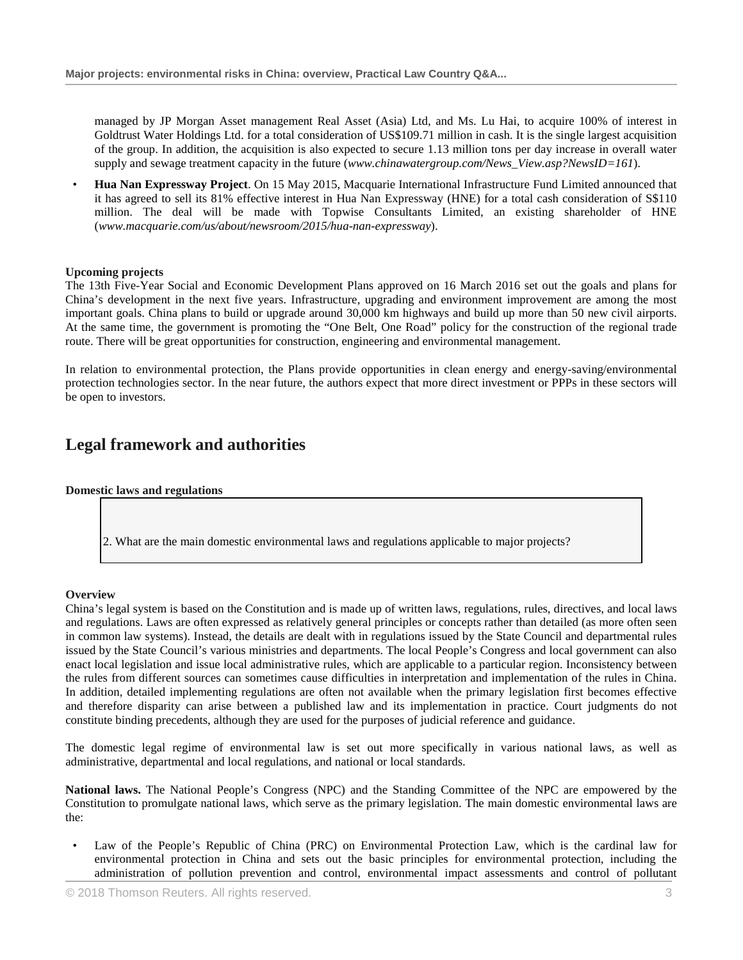managed by JP Morgan Asset management Real Asset (Asia) Ltd, and Ms. Lu Hai, to acquire 100% of interest in Goldtrust Water Holdings Ltd. for a total consideration of US\$109.71 million in cash. It is the single largest acquisition of the group. In addition, the acquisition is also expected to secure 1.13 million tons per day increase in overall water supply and sewage treatment capacity in the future (*www.chinawatergroup.com*/*News\_View.asp?NewsID=161*).

• **Hua Nan Expressway Project**. On 15 May 2015, Macquarie International Infrastructure Fund Limited announced that it has agreed to sell its 81% effective interest in Hua Nan Expressway (HNE) for a total cash consideration of S\$110 million. The deal will be made with Topwise Consultants Limited, an existing shareholder of HNE (*www.macquarie.com/us/about/newsroom/2015/hua-nan-expressway*).

#### **Upcoming projects**

The 13th Five-Year Social and Economic Development Plans approved on 16 March 2016 set out the goals and plans for China's development in the next five years. Infrastructure, upgrading and environment improvement are among the most important goals. China plans to build or upgrade around 30,000 km highways and build up more than 50 new civil airports. At the same time, the government is promoting the "One Belt, One Road" policy for the construction of the regional trade route. There will be great opportunities for construction, engineering and environmental management.

In relation to environmental protection, the Plans provide opportunities in clean energy and energy-saving/environmental protection technologies sector. In the near future, the authors expect that more direct investment or PPPs in these sectors will be open to investors.

# **Legal framework and authorities**

# **Domestic laws and regulations**

2. What are the main domestic environmental laws and regulations applicable to major projects?

#### **Overview**

China's legal system is based on the Constitution and is made up of written laws, regulations, rules, directives, and local laws and regulations. Laws are often expressed as relatively general principles or concepts rather than detailed (as more often seen in common law systems). Instead, the details are dealt with in regulations issued by the State Council and departmental rules issued by the State Council's various ministries and departments. The local People's Congress and local government can also enact local legislation and issue local administrative rules, which are applicable to a particular region. Inconsistency between the rules from different sources can sometimes cause difficulties in interpretation and implementation of the rules in China. In addition, detailed implementing regulations are often not available when the primary legislation first becomes effective and therefore disparity can arise between a published law and its implementation in practice. Court judgments do not constitute binding precedents, although they are used for the purposes of judicial reference and guidance.

The domestic legal regime of environmental law is set out more specifically in various national laws, as well as administrative, departmental and local regulations, and national or local standards.

**National laws.** The National People's Congress (NPC) and the Standing Committee of the NPC are empowered by the Constitution to promulgate national laws, which serve as the primary legislation. The main domestic environmental laws are the:

• Law of the People's Republic of China (PRC) on Environmental Protection Law*,* which is the cardinal law for environmental protection in China and sets out the basic principles for environmental protection, including the administration of pollution prevention and control, environmental impact assessments and control of pollutant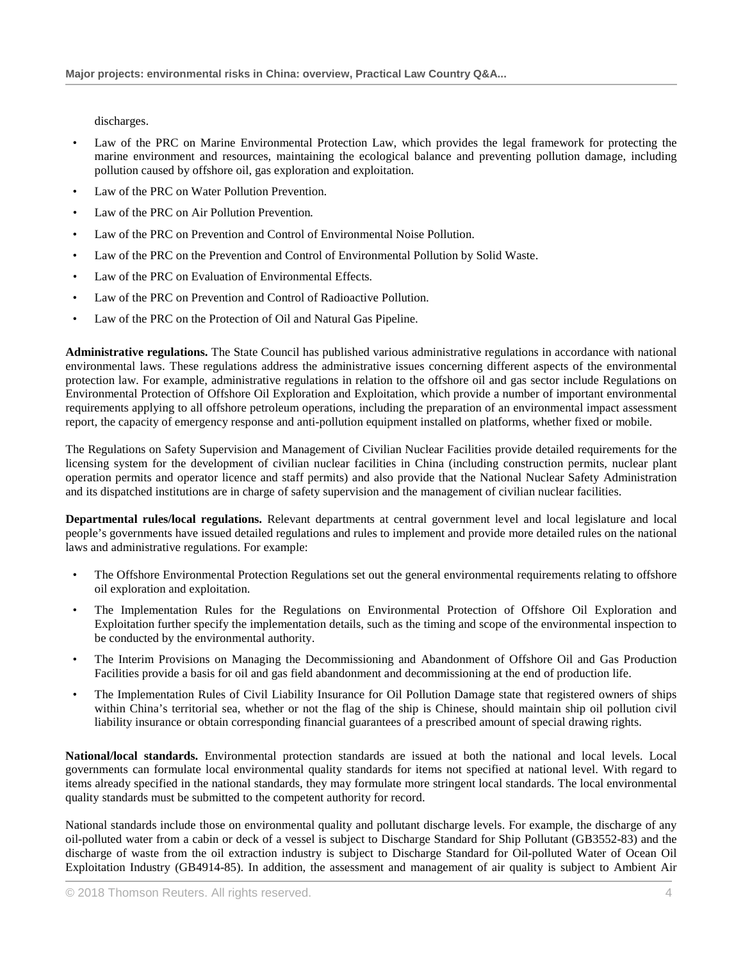discharges.

- Law of the PRC on Marine Environmental Protection Law, which provides the legal framework for protecting the marine environment and resources, maintaining the ecological balance and preventing pollution damage, including pollution caused by offshore oil, gas exploration and exploitation.
- Law of the PRC on Water Pollution Prevention.
- *•* Law of the PRC on Air Pollution Prevention*.*
- Law of the PRC on Prevention and Control of Environmental Noise Pollution.
- Law of the PRC on the Prevention and Control of Environmental Pollution by Solid Waste.
- *•* Law of the PRC on Evaluation of Environmental Effects*.*
- Law of the PRC on Prevention and Control of Radioactive Pollution.
- Law of the PRC on the Protection of Oil and Natural Gas Pipeline.

**Administrative regulations.** The State Council has published various administrative regulations in accordance with national environmental laws. These regulations address the administrative issues concerning different aspects of the environmental protection law. For example, administrative regulations in relation to the offshore oil and gas sector include Regulations on Environmental Protection of Offshore Oil Exploration and Exploitation, which provide a number of important environmental requirements applying to all offshore petroleum operations, including the preparation of an environmental impact assessment report, the capacity of emergency response and anti-pollution equipment installed on platforms, whether fixed or mobile.

The Regulations on Safety Supervision and Management of Civilian Nuclear Facilities provide detailed requirements for the licensing system for the development of civilian nuclear facilities in China (including construction permits, nuclear plant operation permits and operator licence and staff permits) and also provide that the National Nuclear Safety Administration and its dispatched institutions are in charge of safety supervision and the management of civilian nuclear facilities.

**Departmental rules/local regulations.** Relevant departments at central government level and local legislature and local people's governments have issued detailed regulations and rules to implement and provide more detailed rules on the national laws and administrative regulations. For example:

- The Offshore Environmental Protection Regulations set out the general environmental requirements relating to offshore oil exploration and exploitation.
- The Implementation Rules for the Regulations on Environmental Protection of Offshore Oil Exploration and Exploitation further specify the implementation details, such as the timing and scope of the environmental inspection to be conducted by the environmental authority.
- The Interim Provisions on Managing the Decommissioning and Abandonment of Offshore Oil and Gas Production Facilities provide a basis for oil and gas field abandonment and decommissioning at the end of production life.
- The Implementation Rules of Civil Liability Insurance for Oil Pollution Damage state that registered owners of ships within China's territorial sea, whether or not the flag of the ship is Chinese, should maintain ship oil pollution civil liability insurance or obtain corresponding financial guarantees of a prescribed amount of special drawing rights.

**National/local standards.** Environmental protection standards are issued at both the national and local levels. Local governments can formulate local environmental quality standards for items not specified at national level. With regard to items already specified in the national standards, they may formulate more stringent local standards. The local environmental quality standards must be submitted to the competent authority for record.

National standards include those on environmental quality and pollutant discharge levels. For example, the discharge of any oil-polluted water from a cabin or deck of a vessel is subject to Discharge Standard for Ship Pollutant (GB3552-83) and the discharge of waste from the oil extraction industry is subject to Discharge Standard for Oil-polluted Water of Ocean Oil Exploitation Industry (GB4914-85). In addition, the assessment and management of air quality is subject to Ambient Air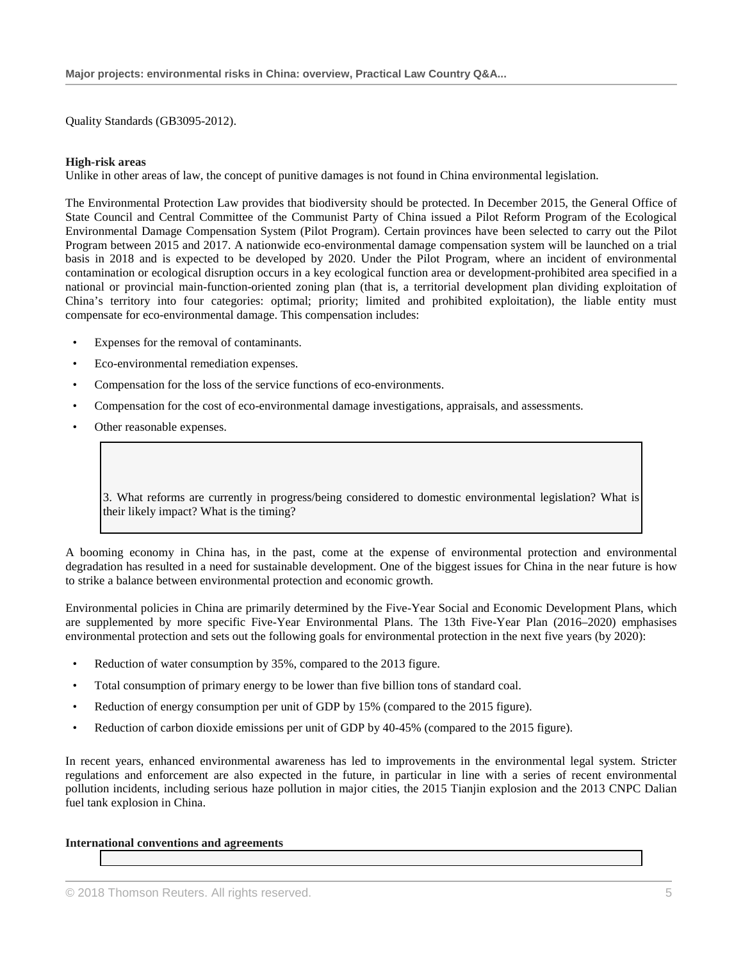Quality Standards (GB3095-2012).

#### **High-risk areas**

Unlike in other areas of law, the concept of punitive damages is not found in China environmental legislation.

The Environmental Protection Law provides that biodiversity should be protected. In December 2015, the General Office of State Council and Central Committee of the Communist Party of China issued a Pilot Reform Program of the Ecological Environmental Damage Compensation System (Pilot Program). Certain provinces have been selected to carry out the Pilot Program between 2015 and 2017. A nationwide eco-environmental damage compensation system will be launched on a trial basis in 2018 and is expected to be developed by 2020. Under the Pilot Program, where an incident of environmental contamination or ecological disruption occurs in a key ecological function area or development-prohibited area specified in a national or provincial main-function-oriented zoning plan (that is, a territorial development plan dividing exploitation of China's territory into four categories: optimal; priority; limited and prohibited exploitation), the liable entity must compensate for eco-environmental damage. This compensation includes:

- Expenses for the removal of contaminants.
- Eco-environmental remediation expenses.
- Compensation for the loss of the service functions of eco-environments.
- Compensation for the cost of eco-environmental damage investigations, appraisals, and assessments.
- Other reasonable expenses.

3. What reforms are currently in progress/being considered to domestic environmental legislation? What is their likely impact? What is the timing?

A booming economy in China has, in the past, come at the expense of environmental protection and environmental degradation has resulted in a need for sustainable development. One of the biggest issues for China in the near future is how to strike a balance between environmental protection and economic growth.

Environmental policies in China are primarily determined by the Five-Year Social and Economic Development Plans, which are supplemented by more specific Five-Year Environmental Plans. The 13th Five-Year Plan (2016–2020) emphasises environmental protection and sets out the following goals for environmental protection in the next five years (by 2020):

- Reduction of water consumption by 35%, compared to the 2013 figure.
- Total consumption of primary energy to be lower than five billion tons of standard coal.
- Reduction of energy consumption per unit of GDP by 15% (compared to the 2015 figure).
- Reduction of carbon dioxide emissions per unit of GDP by 40-45% (compared to the 2015 figure).

In recent years, enhanced environmental awareness has led to improvements in the environmental legal system. Stricter regulations and enforcement are also expected in the future, in particular in line with a series of recent environmental pollution incidents, including serious haze pollution in major cities, the 2015 Tianjin explosion and the 2013 CNPC Dalian fuel tank explosion in China.

**International conventions and agreements**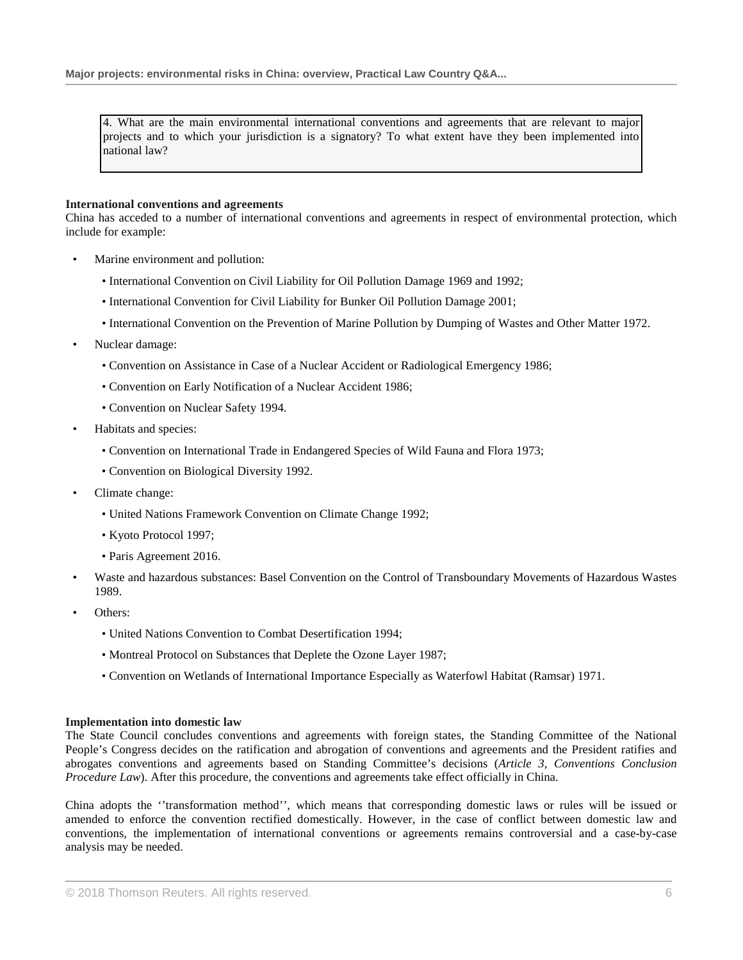4. What are the main environmental international conventions and agreements that are relevant to major projects and to which your jurisdiction is a signatory? To what extent have they been implemented into national law?

#### **International conventions and agreements**

China has acceded to a number of international conventions and agreements in respect of environmental protection, which include for example:

- Marine environment and pollution:
	- International Convention on Civil Liability for Oil Pollution Damage 1969 and 1992;
	- International Convention for Civil Liability for Bunker Oil Pollution Damage 2001;
	- International Convention on the Prevention of Marine Pollution by Dumping of Wastes and Other Matter 1972.
- Nuclear damage:
	- Convention on Assistance in Case of a Nuclear Accident or Radiological Emergency 1986;
	- Convention on Early Notification of a Nuclear Accident 1986;
	- Convention on Nuclear Safety 1994.
- Habitats and species:
	- Convention on International Trade in Endangered Species of Wild Fauna and Flora 1973;
	- Convention on Biological Diversity 1992.
- Climate change:
	- United Nations Framework Convention on Climate Change 1992;
	- Kyoto Protocol 1997;
	- Paris Agreement 2016.
- Waste and hazardous substances: Basel Convention on the Control of Transboundary Movements of Hazardous Wastes 1989.
- Others<sup>-</sup>
	- United Nations Convention to Combat Desertification 1994;
	- Montreal Protocol on Substances that Deplete the Ozone Layer 1987;
	- Convention on Wetlands of International Importance Especially as Waterfowl Habitat (Ramsar) 1971.

#### **Implementation into domestic law**

The State Council concludes conventions and agreements with foreign states, the Standing Committee of the National People's Congress decides on the ratification and abrogation of conventions and agreements and the President ratifies and abrogates conventions and agreements based on Standing Committee's decisions (*Article 3, Conventions Conclusion Procedure Law*). After this procedure, the conventions and agreements take effect officially in China.

China adopts the ''transformation method'', which means that corresponding domestic laws or rules will be issued or amended to enforce the convention rectified domestically. However, in the case of conflict between domestic law and conventions, the implementation of international conventions or agreements remains controversial and a case-by-case analysis may be needed.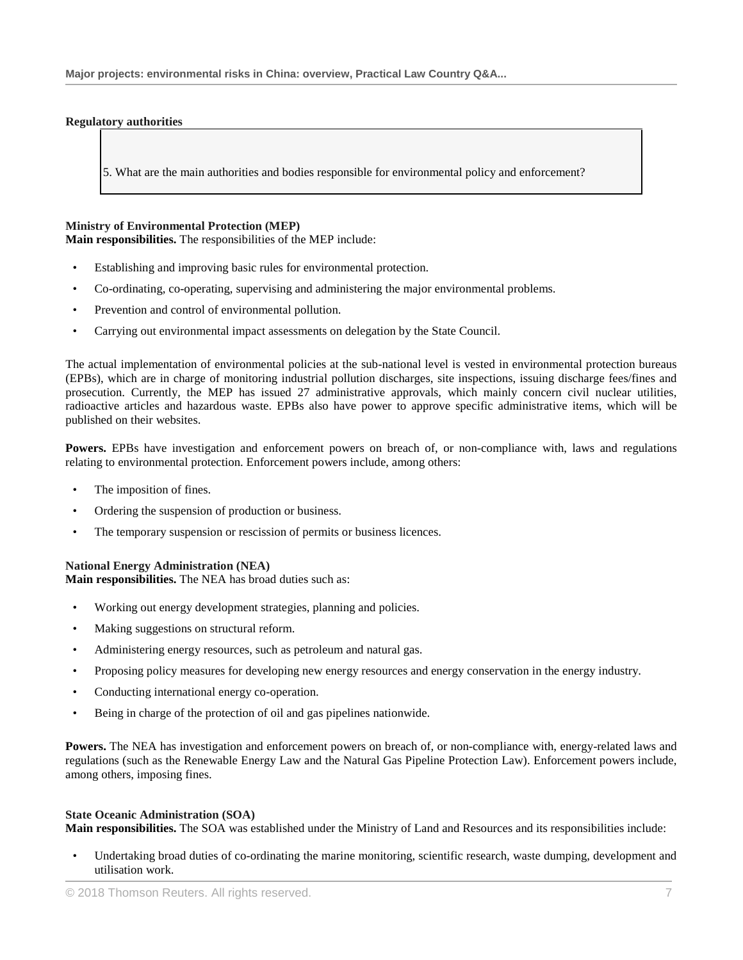#### **Regulatory authorities**

5. What are the main authorities and bodies responsible for environmental policy and enforcement?

#### **Ministry of Environmental Protection (MEP)**

**Main responsibilities.** The responsibilities of the MEP include:

- Establishing and improving basic rules for environmental protection.
- Co-ordinating, co-operating, supervising and administering the major environmental problems.
- Prevention and control of environmental pollution.
- Carrying out environmental impact assessments on delegation by the State Council.

The actual implementation of environmental policies at the sub-national level is vested in environmental protection bureaus (EPBs), which are in charge of monitoring industrial pollution discharges, site inspections, issuing discharge fees/fines and prosecution. Currently, the MEP has issued 27 administrative approvals, which mainly concern civil nuclear utilities, radioactive articles and hazardous waste. EPBs also have power to approve specific administrative items, which will be published on their websites.

**Powers.** EPBs have investigation and enforcement powers on breach of, or non-compliance with, laws and regulations relating to environmental protection. Enforcement powers include, among others:

- The imposition of fines.
- Ordering the suspension of production or business.
- The temporary suspension or rescission of permits or business licences.

#### **National Energy Administration (NEA)**

**Main responsibilities.** The NEA has broad duties such as:

- Working out energy development strategies, planning and policies.
- Making suggestions on structural reform.
- Administering energy resources, such as petroleum and natural gas.
- Proposing policy measures for developing new energy resources and energy conservation in the energy industry.
- Conducting international energy co-operation.
- Being in charge of the protection of oil and gas pipelines nationwide.

**Powers.** The NEA has investigation and enforcement powers on breach of, or non-compliance with, energy-related laws and regulations (such as the Renewable Energy Law and the Natural Gas Pipeline Protection Law). Enforcement powers include, among others, imposing fines.

#### **State Oceanic Administration (SOA)**

**Main responsibilities.** The SOA was established under the Ministry of Land and Resources and its responsibilities include:

• Undertaking broad duties of co-ordinating the marine monitoring, scientific research, waste dumping, development and utilisation work.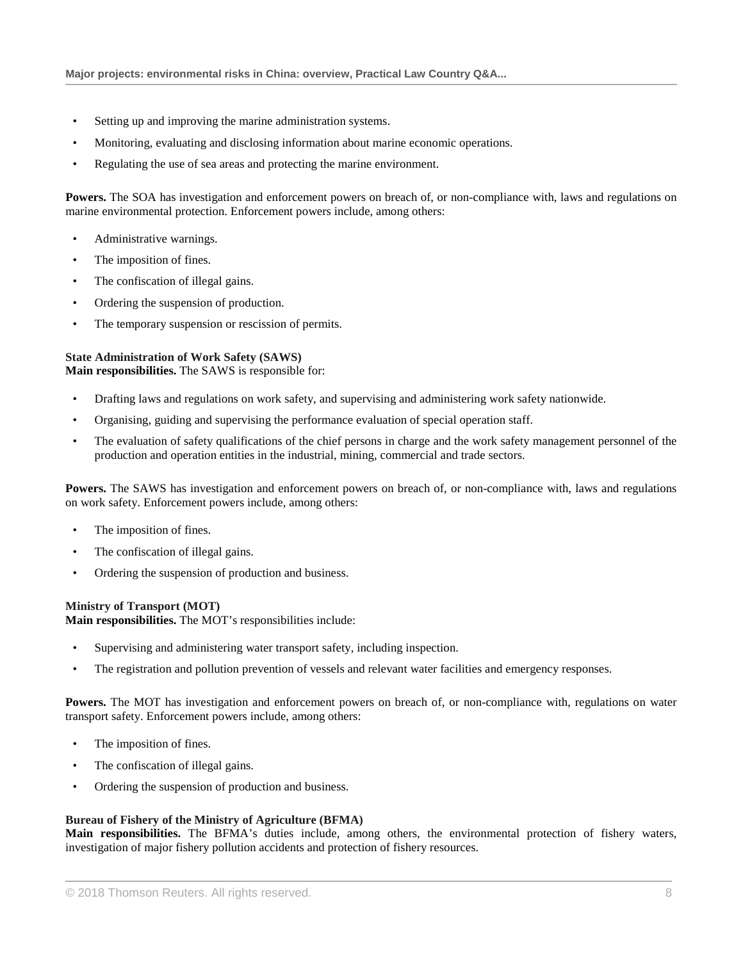- Setting up and improving the marine administration systems.
- Monitoring, evaluating and disclosing information about marine economic operations.
- Regulating the use of sea areas and protecting the marine environment.

**Powers.** The SOA has investigation and enforcement powers on breach of, or non-compliance with, laws and regulations on marine environmental protection. Enforcement powers include, among others:

- Administrative warnings.
- The imposition of fines.
- The confiscation of illegal gains.
- Ordering the suspension of production.
- The temporary suspension or rescission of permits.

#### **State Administration of Work Safety (SAWS) Main responsibilities.** The SAWS is responsible for:

- Drafting laws and regulations on work safety, and supervising and administering work safety nationwide.
- Organising, guiding and supervising the performance evaluation of special operation staff.
- The evaluation of safety qualifications of the chief persons in charge and the work safety management personnel of the production and operation entities in the industrial, mining, commercial and trade sectors.

**Powers.** The SAWS has investigation and enforcement powers on breach of, or non-compliance with, laws and regulations on work safety. Enforcement powers include, among others:

- The imposition of fines.
- The confiscation of illegal gains.
- Ordering the suspension of production and business.

# **Ministry of Transport (MOT)**

**Main responsibilities.** The MOT's responsibilities include:

- Supervising and administering water transport safety, including inspection.
- The registration and pollution prevention of vessels and relevant water facilities and emergency responses.

**Powers.** The MOT has investigation and enforcement powers on breach of, or non-compliance with, regulations on water transport safety. Enforcement powers include, among others:

- The imposition of fines.
- The confiscation of illegal gains.
- Ordering the suspension of production and business.

# **Bureau of Fishery of the Ministry of Agriculture (BFMA)**

**Main responsibilities.** The BFMA's duties include, among others, the environmental protection of fishery waters, investigation of major fishery pollution accidents and protection of fishery resources.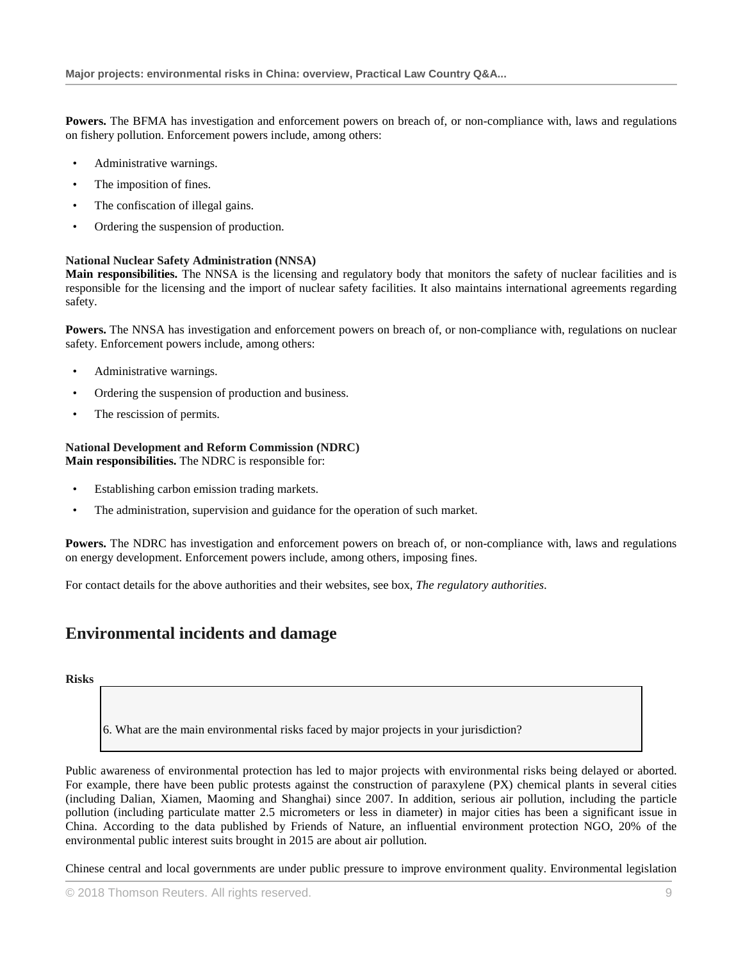**Powers.** The BFMA has investigation and enforcement powers on breach of, or non-compliance with, laws and regulations on fishery pollution. Enforcement powers include, among others:

- Administrative warnings.
- The imposition of fines.
- The confiscation of illegal gains.
- Ordering the suspension of production.

# **National Nuclear Safety Administration (NNSA)**

**Main responsibilities.** The NNSA is the licensing and regulatory body that monitors the safety of nuclear facilities and is responsible for the licensing and the import of nuclear safety facilities. It also maintains international agreements regarding safety.

**Powers.** The NNSA has investigation and enforcement powers on breach of, or non-compliance with, regulations on nuclear safety. Enforcement powers include, among others:

- Administrative warnings.
- Ordering the suspension of production and business.
- The rescission of permits.

#### **National Development and Reform Commission (NDRC) Main responsibilities.** The NDRC is responsible for:

- Establishing carbon emission trading markets.
- The administration, supervision and guidance for the operation of such market.

**Powers.** The NDRC has investigation and enforcement powers on breach of, or non-compliance with, laws and regulations on energy development. Enforcement powers include, among others, imposing fines.

For contact details for the above authorities and their websites, see box, *The regulatory authorities*.

# **Environmental incidents and damage**

**Risks**

6. What are the main environmental risks faced by major projects in your jurisdiction?

Public awareness of environmental protection has led to major projects with environmental risks being delayed or aborted. For example, there have been public protests against the construction of paraxylene (PX) chemical plants in several cities (including Dalian, Xiamen, Maoming and Shanghai) since 2007. In addition, serious air pollution, including the particle pollution (including particulate matter 2.5 micrometers or less in diameter) in major cities has been a significant issue in China. According to the data published by Friends of Nature, an influential environment protection NGO, 20% of the environmental public interest suits brought in 2015 are about air pollution.

Chinese central and local governments are under public pressure to improve environment quality. Environmental legislation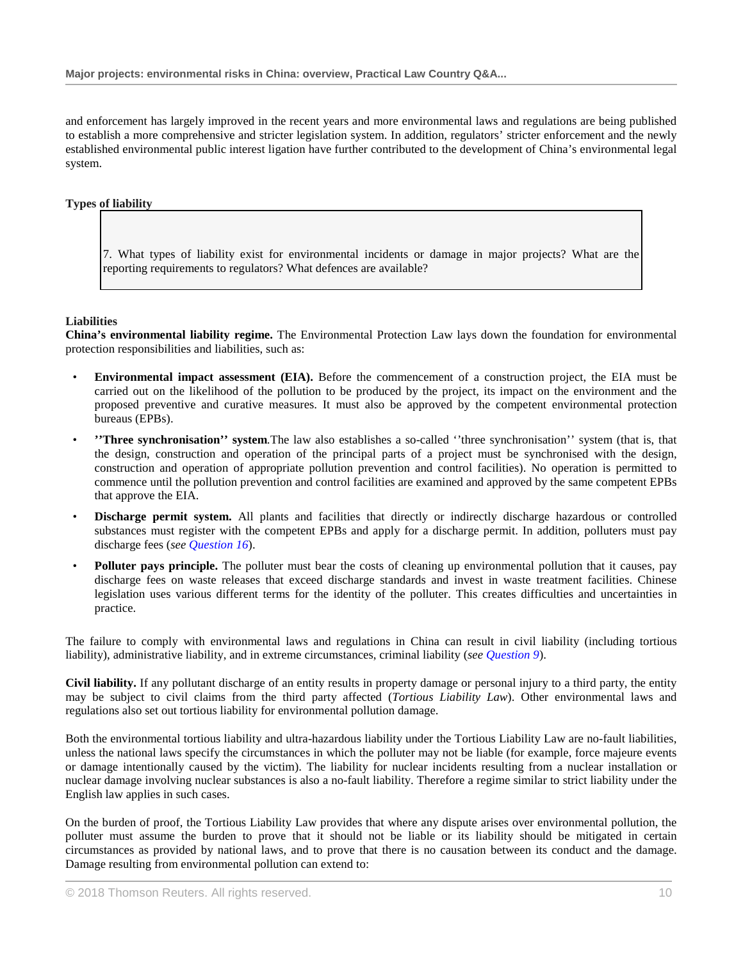and enforcement has largely improved in the recent years and more environmental laws and regulations are being published to establish a more comprehensive and stricter legislation system. In addition, regulators' stricter enforcement and the newly established environmental public interest ligation have further contributed to the development of China's environmental legal system.

# **Types of liability**

7. What types of liability exist for environmental incidents or damage in major projects? What are the reporting requirements to regulators? What defences are available?

# **Liabilities**

**China's environmental liability regime.** The Environmental Protection Law lays down the foundation for environmental protection responsibilities and liabilities, such as:

- **Environmental impact assessment (EIA).** Before the commencement of a construction project, the EIA must be carried out on the likelihood of the pollution to be produced by the project, its impact on the environment and the proposed preventive and curative measures. It must also be approved by the competent environmental protection bureaus (EPBs).
- **''Three synchronisation'' system***.*The law also establishes a so-called ''three synchronisation'' system (that is, that the design, construction and operation of the principal parts of a project must be synchronised with the design, construction and operation of appropriate pollution prevention and control facilities). No operation is permitted to commence until the pollution prevention and control facilities are examined and approved by the same competent EPBs that approve the EIA.
- **Discharge permit system.** All plants and facilities that directly or indirectly discharge hazardous or controlled substances must register with the competent EPBs and apply for a discharge permit. In addition, polluters must pay discharge fees (*see Question 16*).
- **Polluter pays principle.** The polluter must bear the costs of cleaning up environmental pollution that it causes, pay discharge fees on waste releases that exceed discharge standards and invest in waste treatment facilities. Chinese legislation uses various different terms for the identity of the polluter. This creates difficulties and uncertainties in practice.

The failure to comply with environmental laws and regulations in China can result in civil liability (including tortious liability), administrative liability, and in extreme circumstances, criminal liability (*see Question 9*).

**Civil liability.** If any pollutant discharge of an entity results in property damage or personal injury to a third party, the entity may be subject to civil claims from the third party affected (*Tortious Liability Law*). Other environmental laws and regulations also set out tortious liability for environmental pollution damage.

Both the environmental tortious liability and ultra-hazardous liability under the Tortious Liability Law are no-fault liabilities, unless the national laws specify the circumstances in which the polluter may not be liable (for example, force majeure events or damage intentionally caused by the victim). The liability for nuclear incidents resulting from a nuclear installation or nuclear damage involving nuclear substances is also a no-fault liability. Therefore a regime similar to strict liability under the English law applies in such cases.

On the burden of proof, the Tortious Liability Law provides that where any dispute arises over environmental pollution, the polluter must assume the burden to prove that it should not be liable or its liability should be mitigated in certain circumstances as provided by national laws, and to prove that there is no causation between its conduct and the damage. Damage resulting from environmental pollution can extend to: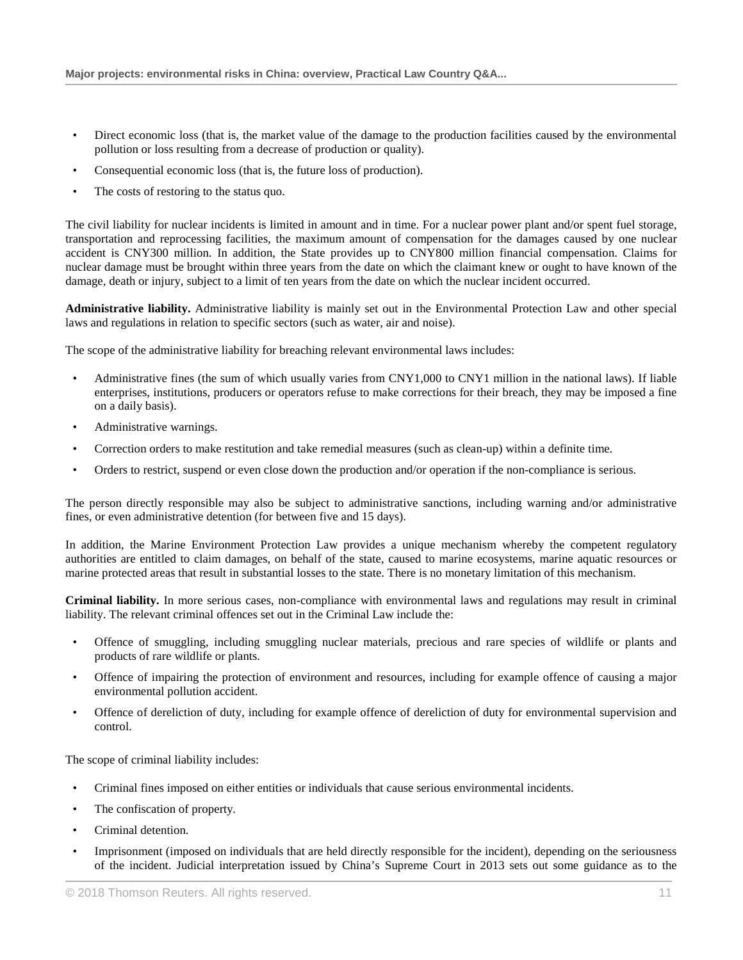- Direct economic loss (that is, the market value of the damage to the production facilities caused by the environmental pollution or loss resulting from a decrease of production or quality).
- Consequential economic loss (that is, the future loss of production).
- The costs of restoring to the status quo.

The civil liability for nuclear incidents is limited in amount and in time. For a nuclear power plant and/or spent fuel storage, transportation and reprocessing facilities, the maximum amount of compensation for the damages caused by one nuclear accident is CNY300 million. In addition, the State provides up to CNY800 million financial compensation. Claims for nuclear damage must be brought within three years from the date on which the claimant knew or ought to have known of the damage, death or injury, subject to a limit of ten years from the date on which the nuclear incident occurred.

**Administrative liability.** Administrative liability is mainly set out in the Environmental Protection Law and other special laws and regulations in relation to specific sectors (such as water, air and noise).

The scope of the administrative liability for breaching relevant environmental laws includes:

- Administrative fines (the sum of which usually varies from CNY1,000 to CNY1 million in the national laws). If liable enterprises, institutions, producers or operators refuse to make corrections for their breach, they may be imposed a fine on a daily basis).
- Administrative warnings.
- Correction orders to make restitution and take remedial measures (such as clean-up) within a definite time.
- Orders to restrict, suspend or even close down the production and/or operation if the non-compliance is serious.

The person directly responsible may also be subject to administrative sanctions, including warning and/or administrative fines, or even administrative detention (for between five and 15 days).

In addition, the Marine Environment Protection Law provides a unique mechanism whereby the competent regulatory authorities are entitled to claim damages, on behalf of the state, caused to marine ecosystems, marine aquatic resources or marine protected areas that result in substantial losses to the state. There is no monetary limitation of this mechanism.

**Criminal liability.** In more serious cases, non-compliance with environmental laws and regulations may result in criminal liability. The relevant criminal offences set out in the Criminal Law include the:

- Offence of smuggling, including smuggling nuclear materials, precious and rare species of wildlife or plants and products of rare wildlife or plants.
- Offence of impairing the protection of environment and resources, including for example offence of causing a major environmental pollution accident.
- Offence of dereliction of duty, including for example offence of dereliction of duty for environmental supervision and control.

The scope of criminal liability includes:

- Criminal fines imposed on either entities or individuals that cause serious environmental incidents.
- The confiscation of property.
- Criminal detention.
- Imprisonment (imposed on individuals that are held directly responsible for the incident), depending on the seriousness of the incident. Judicial interpretation issued by China's Supreme Court in 2013 sets out some guidance as to the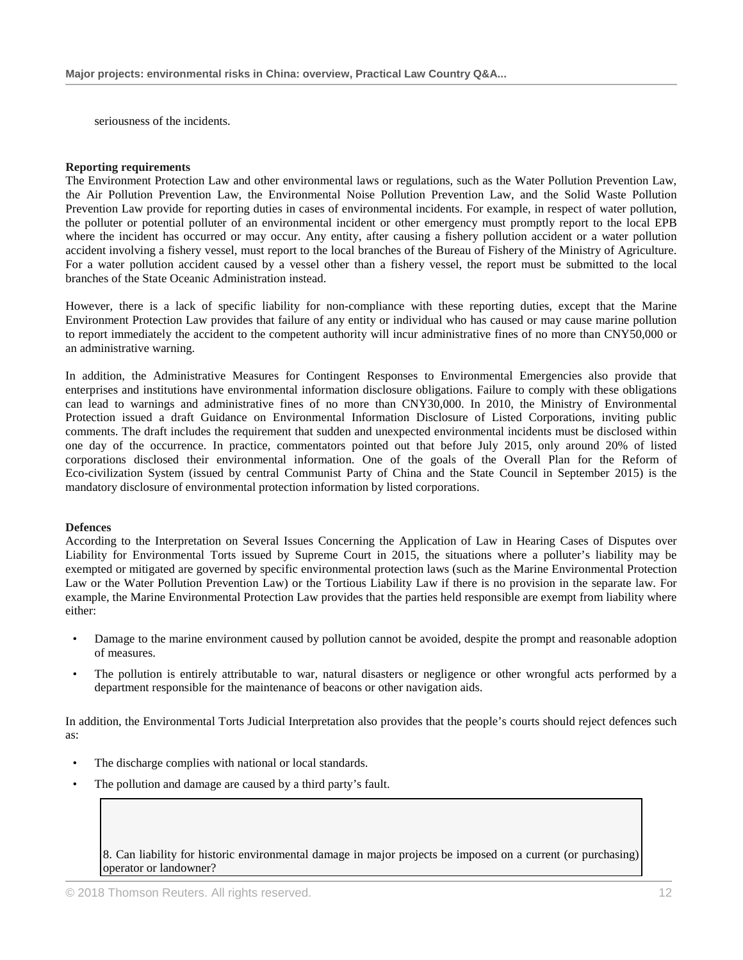seriousness of the incidents.

#### **Reporting requirements**

The Environment Protection Law and other environmental laws or regulations, such as the Water Pollution Prevention Law, the Air Pollution Prevention Law, the Environmental Noise Pollution Prevention Law, and the Solid Waste Pollution Prevention Law provide for reporting duties in cases of environmental incidents. For example, in respect of water pollution, the polluter or potential polluter of an environmental incident or other emergency must promptly report to the local EPB where the incident has occurred or may occur. Any entity, after causing a fishery pollution accident or a water pollution accident involving a fishery vessel, must report to the local branches of the Bureau of Fishery of the Ministry of Agriculture. For a water pollution accident caused by a vessel other than a fishery vessel, the report must be submitted to the local branches of the State Oceanic Administration instead.

However, there is a lack of specific liability for non-compliance with these reporting duties, except that the Marine Environment Protection Law provides that failure of any entity or individual who has caused or may cause marine pollution to report immediately the accident to the competent authority will incur administrative fines of no more than CNY50,000 or an administrative warning.

In addition, the Administrative Measures for Contingent Responses to Environmental Emergencies also provide that enterprises and institutions have environmental information disclosure obligations. Failure to comply with these obligations can lead to warnings and administrative fines of no more than CNY30,000. In 2010, the Ministry of Environmental Protection issued a draft Guidance on Environmental Information Disclosure of Listed Corporations, inviting public comments. The draft includes the requirement that sudden and unexpected environmental incidents must be disclosed within one day of the occurrence. In practice, commentators pointed out that before July 2015, only around 20% of listed corporations disclosed their environmental information. One of the goals of the Overall Plan for the Reform of Eco-civilization System (issued by central Communist Party of China and the State Council in September 2015) is the mandatory disclosure of environmental protection information by listed corporations.

#### **Defences**

According to the Interpretation on Several Issues Concerning the Application of Law in Hearing Cases of Disputes over Liability for Environmental Torts issued by Supreme Court in 2015, the situations where a polluter's liability may be exempted or mitigated are governed by specific environmental protection laws (such as the Marine Environmental Protection Law or the Water Pollution Prevention Law) or the Tortious Liability Law if there is no provision in the separate law. For example, the Marine Environmental Protection Law provides that the parties held responsible are exempt from liability where either:

- Damage to the marine environment caused by pollution cannot be avoided, despite the prompt and reasonable adoption of measures.
- The pollution is entirely attributable to war, natural disasters or negligence or other wrongful acts performed by a department responsible for the maintenance of beacons or other navigation aids.

In addition, the Environmental Torts Judicial Interpretation also provides that the people's courts should reject defences such as:

- The discharge complies with national or local standards.
- The pollution and damage are caused by a third party's fault.

8. Can liability for historic environmental damage in major projects be imposed on a current (or purchasing) operator or landowner?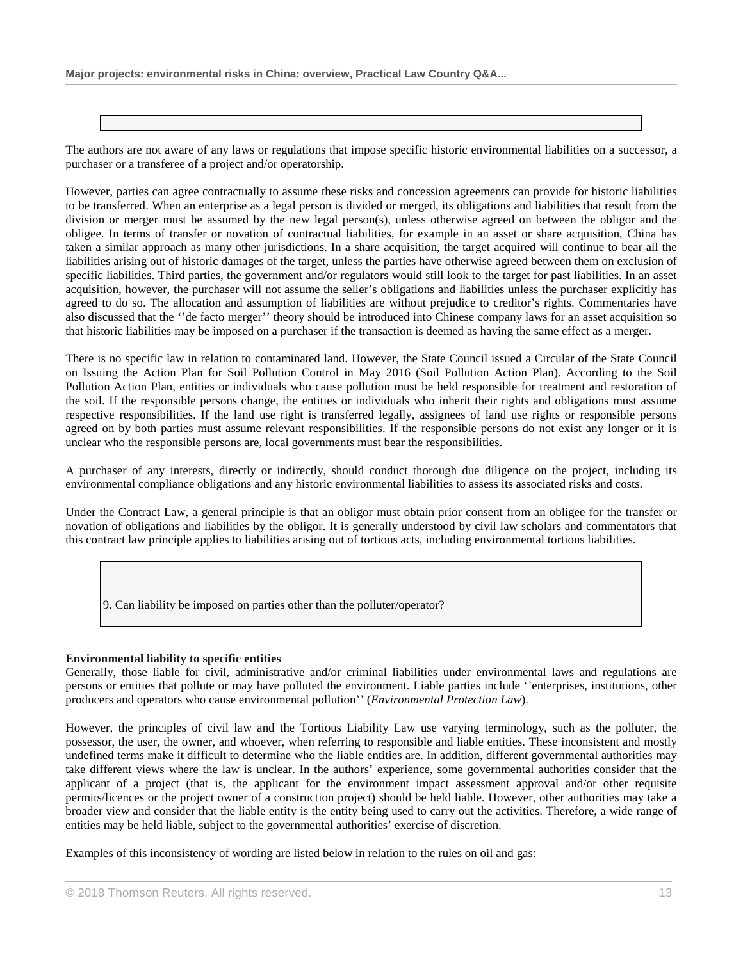The authors are not aware of any laws or regulations that impose specific historic environmental liabilities on a successor, a purchaser or a transferee of a project and/or operatorship.

However, parties can agree contractually to assume these risks and concession agreements can provide for historic liabilities to be transferred. When an enterprise as a legal person is divided or merged, its obligations and liabilities that result from the division or merger must be assumed by the new legal person(s), unless otherwise agreed on between the obligor and the obligee. In terms of transfer or novation of contractual liabilities, for example in an asset or share acquisition, China has taken a similar approach as many other jurisdictions. In a share acquisition, the target acquired will continue to bear all the liabilities arising out of historic damages of the target, unless the parties have otherwise agreed between them on exclusion of specific liabilities. Third parties, the government and/or regulators would still look to the target for past liabilities. In an asset acquisition, however, the purchaser will not assume the seller's obligations and liabilities unless the purchaser explicitly has agreed to do so. The allocation and assumption of liabilities are without prejudice to creditor's rights. Commentaries have also discussed that the ''de facto merger'' theory should be introduced into Chinese company laws for an asset acquisition so that historic liabilities may be imposed on a purchaser if the transaction is deemed as having the same effect as a merger.

There is no specific law in relation to contaminated land. However, the State Council issued a Circular of the State Council on Issuing the Action Plan for Soil Pollution Control in May 2016 (Soil Pollution Action Plan). According to the Soil Pollution Action Plan, entities or individuals who cause pollution must be held responsible for treatment and restoration of the soil. If the responsible persons change, the entities or individuals who inherit their rights and obligations must assume respective responsibilities. If the land use right is transferred legally, assignees of land use rights or responsible persons agreed on by both parties must assume relevant responsibilities. If the responsible persons do not exist any longer or it is unclear who the responsible persons are, local governments must bear the responsibilities.

A purchaser of any interests, directly or indirectly, should conduct thorough due diligence on the project, including its environmental compliance obligations and any historic environmental liabilities to assess its associated risks and costs.

Under the Contract Law, a general principle is that an obligor must obtain prior consent from an obligee for the transfer or novation of obligations and liabilities by the obligor. It is generally understood by civil law scholars and commentators that this contract law principle applies to liabilities arising out of tortious acts, including environmental tortious liabilities.

9. Can liability be imposed on parties other than the polluter/operator?

# **Environmental liability to specific entities**

Generally, those liable for civil, administrative and/or criminal liabilities under environmental laws and regulations are persons or entities that pollute or may have polluted the environment. Liable parties include ''enterprises, institutions, other producers and operators who cause environmental pollution'' (*Environmental Protection Law*).

However, the principles of civil law and the Tortious Liability Law use varying terminology, such as the polluter, the possessor, the user, the owner, and whoever, when referring to responsible and liable entities. These inconsistent and mostly undefined terms make it difficult to determine who the liable entities are. In addition, different governmental authorities may take different views where the law is unclear. In the authors' experience, some governmental authorities consider that the applicant of a project (that is*,* the applicant for the environment impact assessment approval and/or other requisite permits/licences or the project owner of a construction project) should be held liable. However, other authorities may take a broader view and consider that the liable entity is the entity being used to carry out the activities. Therefore, a wide range of entities may be held liable, subject to the governmental authorities' exercise of discretion.

Examples of this inconsistency of wording are listed below in relation to the rules on oil and gas: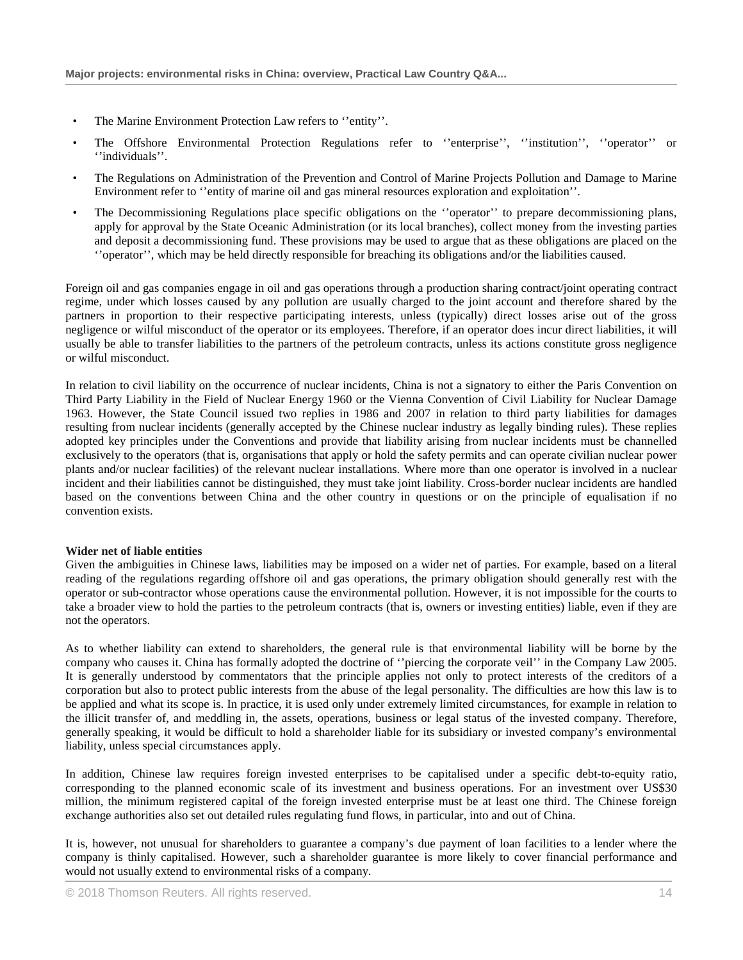- The Marine Environment Protection Law refers to "entity".
- The Offshore Environmental Protection Regulations refer to ''enterprise'', ''institution'', ''operator'' or ''individuals''.
- The Regulations on Administration of the Prevention and Control of Marine Projects Pollution and Damage to Marine Environment refer to ''entity of marine oil and gas mineral resources exploration and exploitation''.
- The Decommissioning Regulations place specific obligations on the ''operator'' to prepare decommissioning plans, apply for approval by the State Oceanic Administration (or its local branches), collect money from the investing parties and deposit a decommissioning fund. These provisions may be used to argue that as these obligations are placed on the ''operator'', which may be held directly responsible for breaching its obligations and/or the liabilities caused.

Foreign oil and gas companies engage in oil and gas operations through a production sharing contract/joint operating contract regime, under which losses caused by any pollution are usually charged to the joint account and therefore shared by the partners in proportion to their respective participating interests, unless (typically) direct losses arise out of the gross negligence or wilful misconduct of the operator or its employees. Therefore, if an operator does incur direct liabilities, it will usually be able to transfer liabilities to the partners of the petroleum contracts, unless its actions constitute gross negligence or wilful misconduct.

In relation to civil liability on the occurrence of nuclear incidents, China is not a signatory to either the Paris Convention on Third Party Liability in the Field of Nuclear Energy 1960 or the Vienna Convention of Civil Liability for Nuclear Damage 1963. However, the State Council issued two replies in 1986 and 2007 in relation to third party liabilities for damages resulting from nuclear incidents (generally accepted by the Chinese nuclear industry as legally binding rules). These replies adopted key principles under the Conventions and provide that liability arising from nuclear incidents must be channelled exclusively to the operators (that is, organisations that apply or hold the safety permits and can operate civilian nuclear power plants and/or nuclear facilities) of the relevant nuclear installations. Where more than one operator is involved in a nuclear incident and their liabilities cannot be distinguished, they must take joint liability. Cross-border nuclear incidents are handled based on the conventions between China and the other country in questions or on the principle of equalisation if no convention exists.

#### **Wider net of liable entities**

Given the ambiguities in Chinese laws, liabilities may be imposed on a wider net of parties. For example, based on a literal reading of the regulations regarding offshore oil and gas operations, the primary obligation should generally rest with the operator or sub-contractor whose operations cause the environmental pollution. However, it is not impossible for the courts to take a broader view to hold the parties to the petroleum contracts (that is, owners or investing entities) liable, even if they are not the operators.

As to whether liability can extend to shareholders, the general rule is that environmental liability will be borne by the company who causes it. China has formally adopted the doctrine of ''piercing the corporate veil'' in the Company Law 2005. It is generally understood by commentators that the principle applies not only to protect interests of the creditors of a corporation but also to protect public interests from the abuse of the legal personality. The difficulties are how this law is to be applied and what its scope is. In practice, it is used only under extremely limited circumstances, for example in relation to the illicit transfer of, and meddling in, the assets, operations, business or legal status of the invested company. Therefore, generally speaking, it would be difficult to hold a shareholder liable for its subsidiary or invested company's environmental liability, unless special circumstances apply.

In addition, Chinese law requires foreign invested enterprises to be capitalised under a specific debt-to-equity ratio, corresponding to the planned economic scale of its investment and business operations. For an investment over US\$30 million, the minimum registered capital of the foreign invested enterprise must be at least one third. The Chinese foreign exchange authorities also set out detailed rules regulating fund flows, in particular, into and out of China.

It is, however, not unusual for shareholders to guarantee a company's due payment of loan facilities to a lender where the company is thinly capitalised. However, such a shareholder guarantee is more likely to cover financial performance and would not usually extend to environmental risks of a company.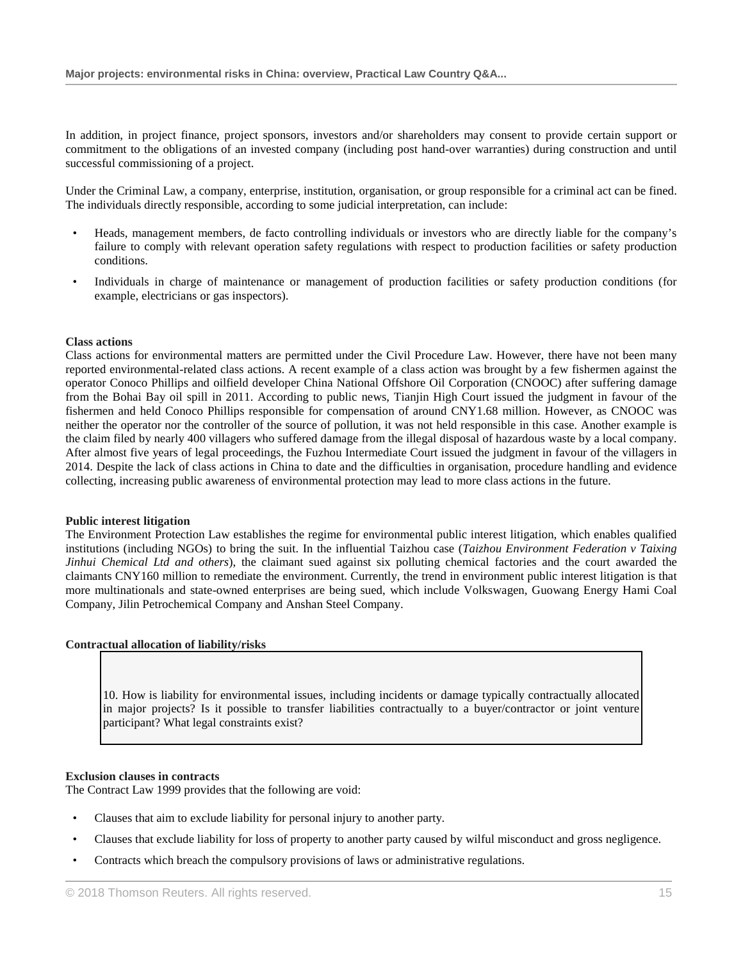In addition, in project finance, project sponsors, investors and/or shareholders may consent to provide certain support or commitment to the obligations of an invested company (including post hand-over warranties) during construction and until successful commissioning of a project.

Under the Criminal Law, a company, enterprise, institution, organisation, or group responsible for a criminal act can be fined. The individuals directly responsible, according to some judicial interpretation, can include:

- Heads, management members, de facto controlling individuals or investors who are directly liable for the company's failure to comply with relevant operation safety regulations with respect to production facilities or safety production conditions.
- Individuals in charge of maintenance or management of production facilities or safety production conditions (for example, electricians or gas inspectors).

#### **Class actions**

Class actions for environmental matters are permitted under the Civil Procedure Law. However, there have not been many reported environmental-related class actions. A recent example of a class action was brought by a few fishermen against the operator Conoco Phillips and oilfield developer China National Offshore Oil Corporation (CNOOC) after suffering damage from the Bohai Bay oil spill in 2011. According to public news, Tianjin High Court issued the judgment in favour of the fishermen and held Conoco Phillips responsible for compensation of around CNY1.68 million. However, as CNOOC was neither the operator nor the controller of the source of pollution, it was not held responsible in this case. Another example is the claim filed by nearly 400 villagers who suffered damage from the illegal disposal of hazardous waste by a local company. After almost five years of legal proceedings, the Fuzhou Intermediate Court issued the judgment in favour of the villagers in 2014. Despite the lack of class actions in China to date and the difficulties in organisation, procedure handling and evidence collecting, increasing public awareness of environmental protection may lead to more class actions in the future.

#### **Public interest litigation**

The Environment Protection Law establishes the regime for environmental public interest litigation, which enables qualified institutions (including NGOs) to bring the suit. In the influential Taizhou case (*Taizhou Environment Federation v Taixing Jinhui Chemical Ltd and others*), the claimant sued against six polluting chemical factories and the court awarded the claimants CNY160 million to remediate the environment. Currently, the trend in environment public interest litigation is that more multinationals and state-owned enterprises are being sued, which include Volkswagen, Guowang Energy Hami Coal Company, Jilin Petrochemical Company and Anshan Steel Company.

#### **Contractual allocation of liability/risks**

10. How is liability for environmental issues, including incidents or damage typically contractually allocated in major projects? Is it possible to transfer liabilities contractually to a buyer/contractor or joint venture participant? What legal constraints exist?

#### **Exclusion clauses in contracts**

The Contract Law 1999 provides that the following are void:

- Clauses that aim to exclude liability for personal injury to another party.
- Clauses that exclude liability for loss of property to another party caused by wilful misconduct and gross negligence.
- Contracts which breach the compulsory provisions of laws or administrative regulations.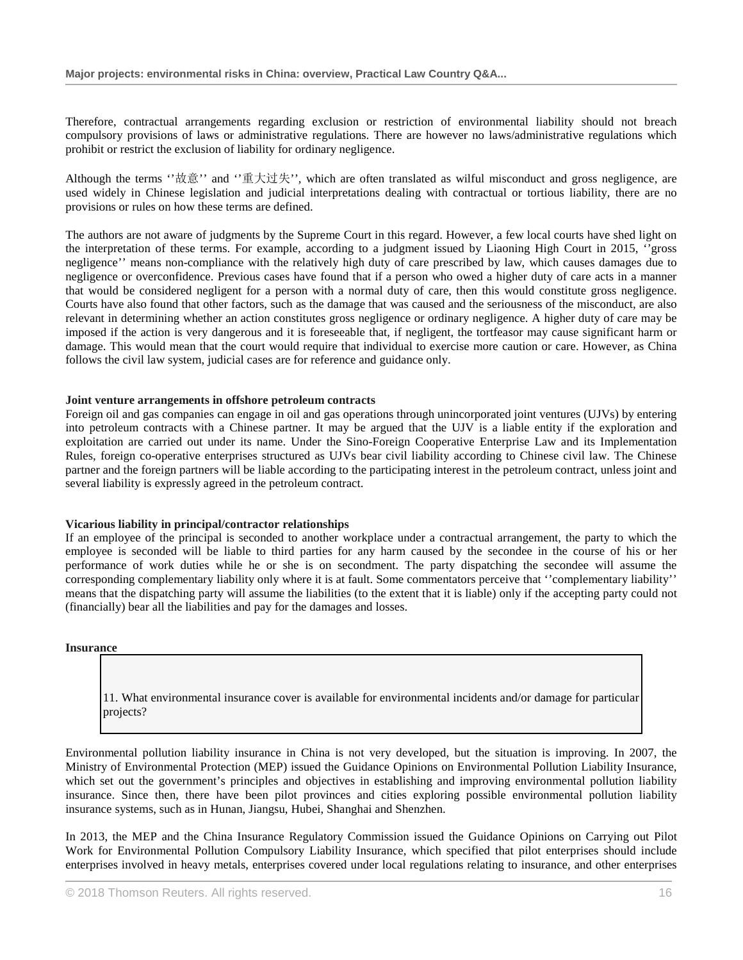Therefore, contractual arrangements regarding exclusion or restriction of environmental liability should not breach compulsory provisions of laws or administrative regulations. There are however no laws/administrative regulations which prohibit or restrict the exclusion of liability for ordinary negligence.

Although the terms "故意" and "重大过失", which are often translated as wilful misconduct and gross negligence, are used widely in Chinese legislation and judicial interpretations dealing with contractual or tortious liability, there are no provisions or rules on how these terms are defined.

The authors are not aware of judgments by the Supreme Court in this regard. However, a few local courts have shed light on the interpretation of these terms. For example, according to a judgment issued by Liaoning High Court in 2015, ''gross negligence'' means non-compliance with the relatively high duty of care prescribed by law, which causes damages due to negligence or overconfidence. Previous cases have found that if a person who owed a higher duty of care acts in a manner that would be considered negligent for a person with a normal duty of care, then this would constitute gross negligence. Courts have also found that other factors, such as the damage that was caused and the seriousness of the misconduct, are also relevant in determining whether an action constitutes gross negligence or ordinary negligence. A higher duty of care may be imposed if the action is very dangerous and it is foreseeable that, if negligent, the tortfeasor may cause significant harm or damage. This would mean that the court would require that individual to exercise more caution or care. However, as China follows the civil law system, judicial cases are for reference and guidance only.

### **Joint venture arrangements in offshore petroleum contracts**

Foreign oil and gas companies can engage in oil and gas operations through unincorporated joint ventures (UJVs) by entering into petroleum contracts with a Chinese partner. It may be argued that the UJV is a liable entity if the exploration and exploitation are carried out under its name. Under the Sino-Foreign Cooperative Enterprise Law and its Implementation Rules, foreign co-operative enterprises structured as UJVs bear civil liability according to Chinese civil law. The Chinese partner and the foreign partners will be liable according to the participating interest in the petroleum contract, unless joint and several liability is expressly agreed in the petroleum contract.

#### **Vicarious liability in principal/contractor relationships**

If an employee of the principal is seconded to another workplace under a contractual arrangement, the party to which the employee is seconded will be liable to third parties for any harm caused by the secondee in the course of his or her performance of work duties while he or she is on secondment. The party dispatching the secondee will assume the corresponding complementary liability only where it is at fault. Some commentators perceive that ''complementary liability'' means that the dispatching party will assume the liabilities (to the extent that it is liable) only if the accepting party could not (financially) bear all the liabilities and pay for the damages and losses.

**Insurance**

11. What environmental insurance cover is available for environmental incidents and/or damage for particular projects?

Environmental pollution liability insurance in China is not very developed, but the situation is improving. In 2007, the Ministry of Environmental Protection (MEP) issued the Guidance Opinions on Environmental Pollution Liability Insurance, which set out the government's principles and objectives in establishing and improving environmental pollution liability insurance. Since then, there have been pilot provinces and cities exploring possible environmental pollution liability insurance systems, such as in Hunan, Jiangsu, Hubei, Shanghai and Shenzhen.

In 2013, the MEP and the China Insurance Regulatory Commission issued the Guidance Opinions on Carrying out Pilot Work for Environmental Pollution Compulsory Liability Insurance, which specified that pilot enterprises should include enterprises involved in heavy metals, enterprises covered under local regulations relating to insurance, and other enterprises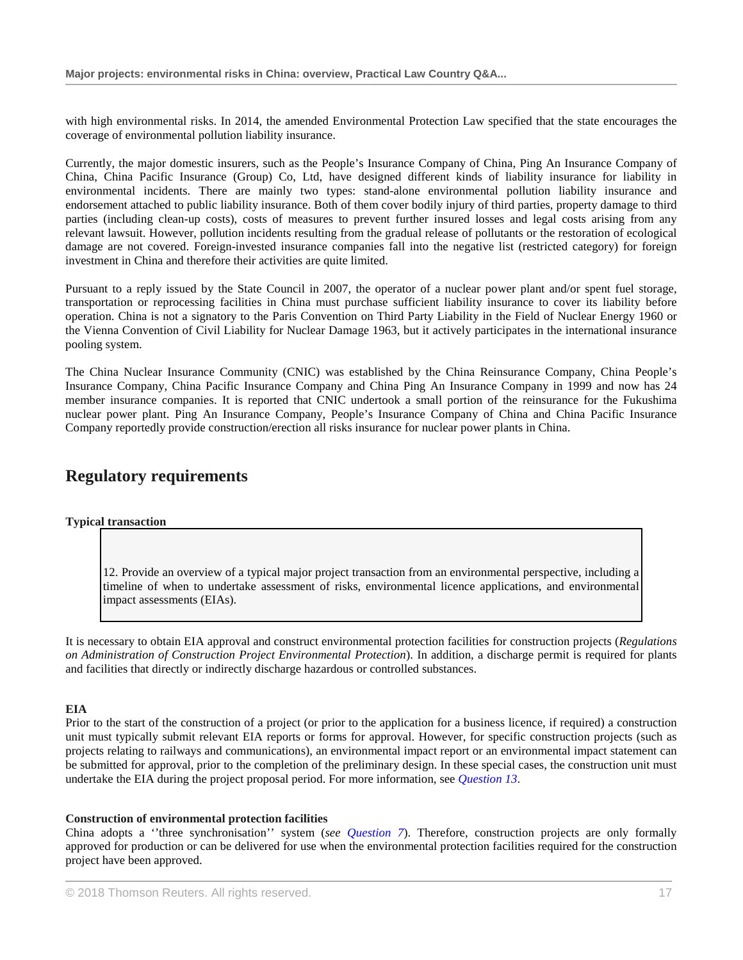with high environmental risks. In 2014, the amended Environmental Protection Law specified that the state encourages the coverage of environmental pollution liability insurance.

Currently, the major domestic insurers, such as the People's Insurance Company of China, Ping An Insurance Company of China, China Pacific Insurance (Group) Co, Ltd, have designed different kinds of liability insurance for liability in environmental incidents. There are mainly two types: stand-alone environmental pollution liability insurance and endorsement attached to public liability insurance. Both of them cover bodily injury of third parties, property damage to third parties (including clean-up costs), costs of measures to prevent further insured losses and legal costs arising from any relevant lawsuit. However, pollution incidents resulting from the gradual release of pollutants or the restoration of ecological damage are not covered. Foreign-invested insurance companies fall into the negative list (restricted category) for foreign investment in China and therefore their activities are quite limited.

Pursuant to a reply issued by the State Council in 2007, the operator of a nuclear power plant and/or spent fuel storage, transportation or reprocessing facilities in China must purchase sufficient liability insurance to cover its liability before operation. China is not a signatory to the Paris Convention on Third Party Liability in the Field of Nuclear Energy 1960 or the Vienna Convention of Civil Liability for Nuclear Damage 1963, but it actively participates in the international insurance pooling system.

The China Nuclear Insurance Community (CNIC) was established by the China Reinsurance Company, China People's Insurance Company, China Pacific Insurance Company and China Ping An Insurance Company in 1999 and now has 24 member insurance companies. It is reported that CNIC undertook a small portion of the reinsurance for the Fukushima nuclear power plant. Ping An Insurance Company, People's Insurance Company of China and China Pacific Insurance Company reportedly provide construction/erection all risks insurance for nuclear power plants in China.

# **Regulatory requirements**

#### **Typical transaction**

12. Provide an overview of a typical major project transaction from an environmental perspective, including a timeline of when to undertake assessment of risks, environmental licence applications, and environmental impact assessments (EIAs).

It is necessary to obtain EIA approval and construct environmental protection facilities for construction projects (*Regulations on Administration of Construction Project Environmental Protection*). In addition, a discharge permit is required for plants and facilities that directly or indirectly discharge hazardous or controlled substances.

# **EIA**

Prior to the start of the construction of a project (or prior to the application for a business licence, if required) a construction unit must typically submit relevant EIA reports or forms for approval. However, for specific construction projects (such as projects relating to railways and communications), an environmental impact report or an environmental impact statement can be submitted for approval, prior to the completion of the preliminary design. In these special cases, the construction unit must undertake the EIA during the project proposal period. For more information, see *Question 13*.

#### **Construction of environmental protection facilities**

China adopts a ''three synchronisation'' system (*see Question 7*). Therefore, construction projects are only formally approved for production or can be delivered for use when the environmental protection facilities required for the construction project have been approved.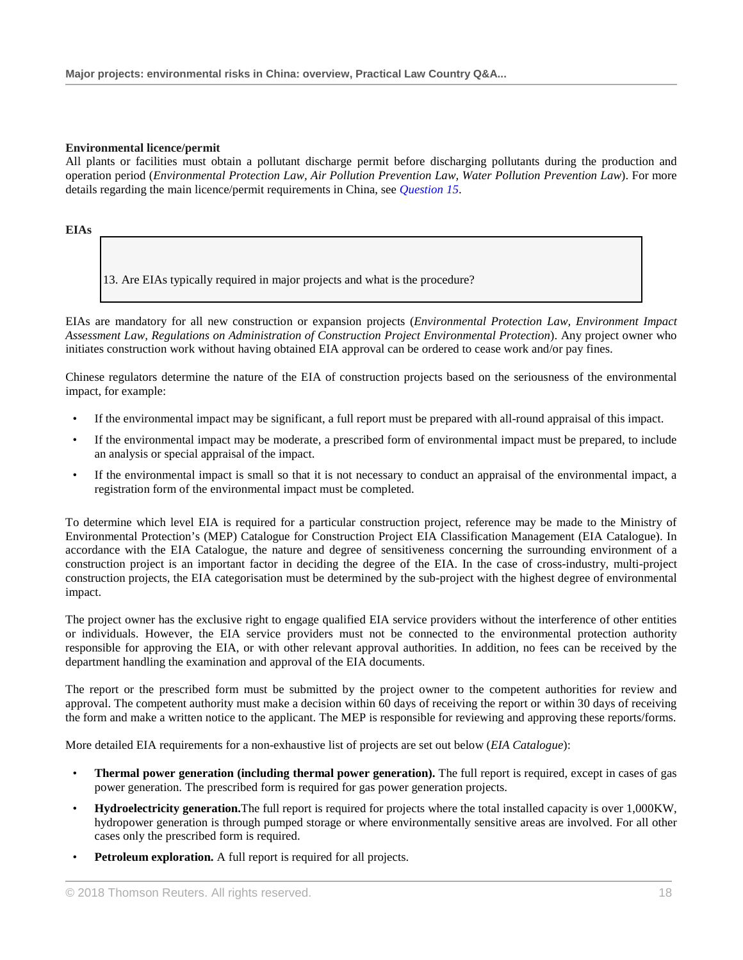### **Environmental licence/permit**

All plants or facilities must obtain a pollutant discharge permit before discharging pollutants during the production and operation period (*Environmental Protection Law, Air Pollution Prevention Law, Water Pollution Prevention Law*). For more details regarding the main licence/permit requirements in China, see *Question 15*.

### **EIAs**

13. Are EIAs typically required in major projects and what is the procedure?

EIAs are mandatory for all new construction or expansion projects (*Environmental Protection Law, Environment Impact Assessment Law, Regulations on Administration of Construction Project Environmental Protection*). Any project owner who initiates construction work without having obtained EIA approval can be ordered to cease work and/or pay fines.

Chinese regulators determine the nature of the EIA of construction projects based on the seriousness of the environmental impact, for example:

- If the environmental impact may be significant, a full report must be prepared with all-round appraisal of this impact.
- If the environmental impact may be moderate, a prescribed form of environmental impact must be prepared, to include an analysis or special appraisal of the impact.
- If the environmental impact is small so that it is not necessary to conduct an appraisal of the environmental impact, a registration form of the environmental impact must be completed.

To determine which level EIA is required for a particular construction project, reference may be made to the Ministry of Environmental Protection's (MEP) Catalogue for Construction Project EIA Classification Management (EIA Catalogue). In accordance with the EIA Catalogue, the nature and degree of sensitiveness concerning the surrounding environment of a construction project is an important factor in deciding the degree of the EIA. In the case of cross-industry, multi-project construction projects, the EIA categorisation must be determined by the sub-project with the highest degree of environmental impact.

The project owner has the exclusive right to engage qualified EIA service providers without the interference of other entities or individuals. However, the EIA service providers must not be connected to the environmental protection authority responsible for approving the EIA, or with other relevant approval authorities. In addition, no fees can be received by the department handling the examination and approval of the EIA documents.

The report or the prescribed form must be submitted by the project owner to the competent authorities for review and approval. The competent authority must make a decision within 60 days of receiving the report or within 30 days of receiving the form and make a written notice to the applicant. The MEP is responsible for reviewing and approving these reports/forms.

More detailed EIA requirements for a non-exhaustive list of projects are set out below (*EIA Catalogue*):

- **Thermal power generation (including thermal power generation).** The full report is required, except in cases of gas power generation. The prescribed form is required for gas power generation projects.
- **Hydroelectricity generation.**The full report is required for projects where the total installed capacity is over 1,000KW, hydropower generation is through pumped storage or where environmentally sensitive areas are involved. For all other cases only the prescribed form is required.
- **Petroleum exploration.** A full report is required for all projects.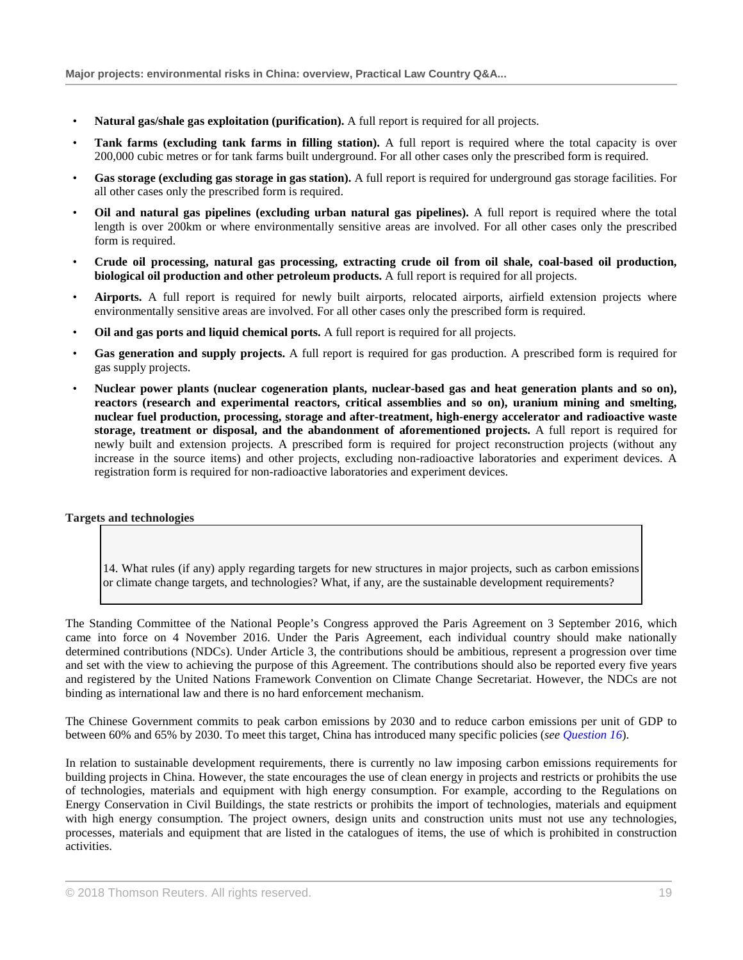- **Natural gas/shale gas exploitation (purification).** A full report is required for all projects.
- **Tank farms (excluding tank farms in filling station).** A full report is required where the total capacity is over 200,000 cubic metres or for tank farms built underground. For all other cases only the prescribed form is required.
- **Gas storage (excluding gas storage in gas station).** A full report is required for underground gas storage facilities. For all other cases only the prescribed form is required.
- **Oil and natural gas pipelines (excluding urban natural gas pipelines).** A full report is required where the total length is over 200km or where environmentally sensitive areas are involved. For all other cases only the prescribed form is required.
- **Crude oil processing, natural gas processing, extracting crude oil from oil shale, coal-based oil production, biological oil production and other petroleum products.** A full report is required for all projects.
- **Airports.** A full report is required for newly built airports, relocated airports, airfield extension projects where environmentally sensitive areas are involved. For all other cases only the prescribed form is required.
- **Oil and gas ports and liquid chemical ports.** A full report is required for all projects.
- **Gas generation and supply projects.** A full report is required for gas production. A prescribed form is required for gas supply projects.
- **Nuclear power plants (nuclear cogeneration plants, nuclear-based gas and heat generation plants and so on), reactors (research and experimental reactors, critical assemblies and so on), uranium mining and smelting, nuclear fuel production, processing, storage and after-treatment, high-energy accelerator and radioactive waste storage, treatment or disposal, and the abandonment of aforementioned projects.** A full report is required for newly built and extension projects. A prescribed form is required for project reconstruction projects (without any increase in the source items) and other projects, excluding non-radioactive laboratories and experiment devices. A registration form is required for non-radioactive laboratories and experiment devices.

#### **Targets and technologies**

14. What rules (if any) apply regarding targets for new structures in major projects, such as carbon emissions or climate change targets, and technologies? What, if any, are the sustainable development requirements?

The Standing Committee of the National People's Congress approved the Paris Agreement on 3 September 2016, which came into force on 4 November 2016. Under the Paris Agreement, each individual country should make nationally determined contributions (NDCs). Under Article 3, the contributions should be ambitious, represent a progression over time and set with the view to achieving the purpose of this Agreement. The contributions should also be reported every five years and registered by the United Nations Framework Convention on Climate Change Secretariat. However, the NDCs are not binding as international law and there is no hard enforcement mechanism.

The Chinese Government commits to peak carbon emissions by 2030 and to reduce carbon emissions per unit of GDP to between 60% and 65% by 2030. To meet this target, China has introduced many specific policies (*see Question 16*).

In relation to sustainable development requirements, there is currently no law imposing carbon emissions requirements for building projects in China. However, the state encourages the use of clean energy in projects and restricts or prohibits the use of technologies, materials and equipment with high energy consumption. For example, according to the Regulations on Energy Conservation in Civil Buildings, the state restricts or prohibits the import of technologies, materials and equipment with high energy consumption. The project owners, design units and construction units must not use any technologies, processes, materials and equipment that are listed in the catalogues of items, the use of which is prohibited in construction activities.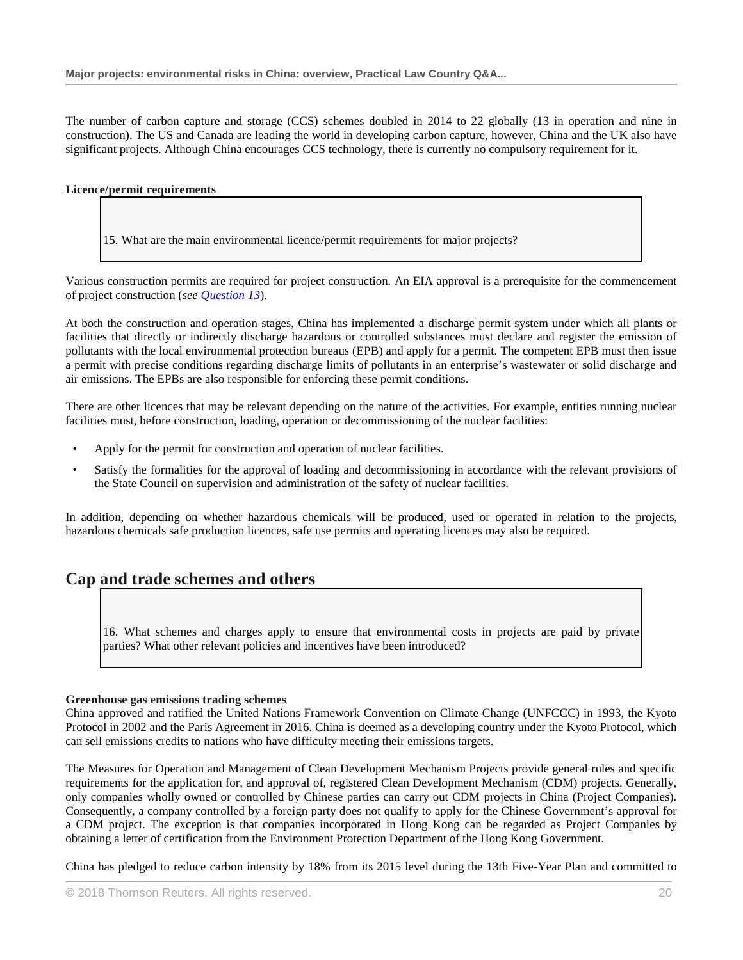The number of carbon capture and storage (CCS) schemes doubled in 2014 to 22 globally (13 in operation and nine in construction). The US and Canada are leading the world in developing carbon capture, however, China and the UK also have significant projects. Although China encourages CCS technology, there is currently no compulsory requirement for it.

### **Licence/permit requirements**

15. What are the main environmental licence/permit requirements for major projects?

Various construction permits are required for project construction. An EIA approval is a prerequisite for the commencement of project construction (*see Question 13*).

At both the construction and operation stages, China has implemented a discharge permit system under which all plants or facilities that directly or indirectly discharge hazardous or controlled substances must declare and register the emission of pollutants with the local environmental protection bureaus (EPB) and apply for a permit. The competent EPB must then issue a permit with precise conditions regarding discharge limits of pollutants in an enterprise's wastewater or solid discharge and air emissions. The EPBs are also responsible for enforcing these permit conditions.

There are other licences that may be relevant depending on the nature of the activities. For example, entities running nuclear facilities must, before construction, loading, operation or decommissioning of the nuclear facilities:

- Apply for the permit for construction and operation of nuclear facilities.
- Satisfy the formalities for the approval of loading and decommissioning in accordance with the relevant provisions of the State Council on supervision and administration of the safety of nuclear facilities.

In addition, depending on whether hazardous chemicals will be produced, used or operated in relation to the projects, hazardous chemicals safe production licences, safe use permits and operating licences may also be required.

# **Cap and trade schemes and others**

16. What schemes and charges apply to ensure that environmental costs in projects are paid by private parties? What other relevant policies and incentives have been introduced?

# **Greenhouse gas emissions trading schemes**

China approved and ratified the United Nations Framework Convention on Climate Change (UNFCCC) in 1993, the Kyoto Protocol in 2002 and the Paris Agreement in 2016. China is deemed as a developing country under the Kyoto Protocol, which can sell emissions credits to nations who have difficulty meeting their emissions targets.

The Measures for Operation and Management of Clean Development Mechanism Projects provide general rules and specific requirements for the application for, and approval of, registered Clean Development Mechanism (CDM) projects. Generally, only companies wholly owned or controlled by Chinese parties can carry out CDM projects in China (Project Companies). Consequently, a company controlled by a foreign party does not qualify to apply for the Chinese Government's approval for a CDM project. The exception is that companies incorporated in Hong Kong can be regarded as Project Companies by obtaining a letter of certification from the Environment Protection Department of the Hong Kong Government.

China has pledged to reduce carbon intensity by 18% from its 2015 level during the 13th Five-Year Plan and committed to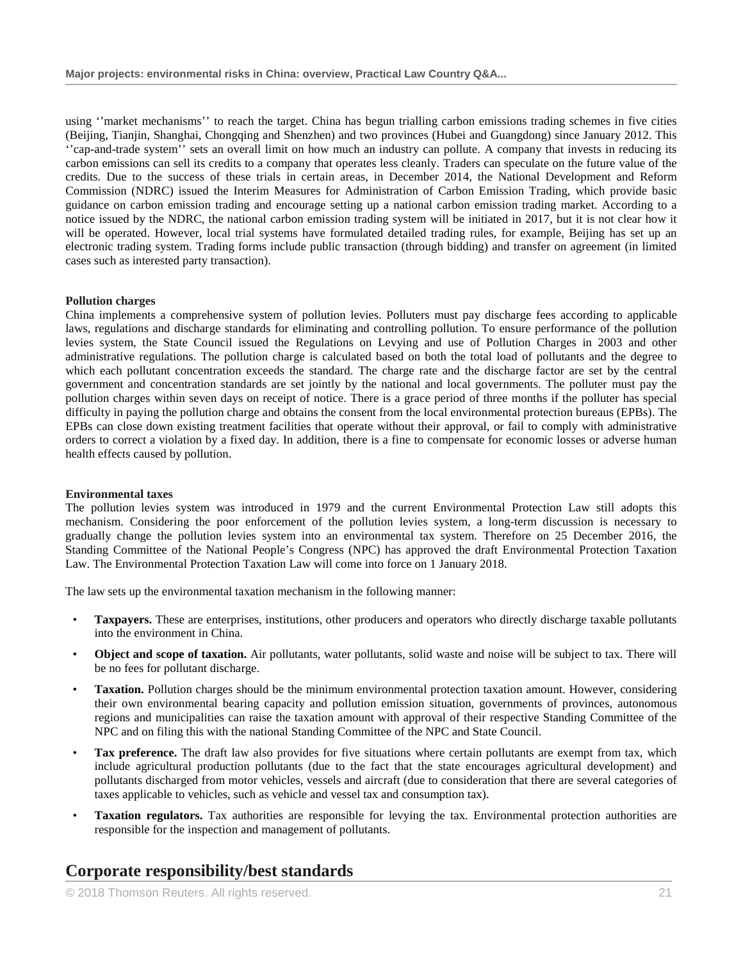using ''market mechanisms'' to reach the target. China has begun trialling carbon emissions trading schemes in five cities (Beijing, Tianjin, Shanghai, Chongqing and Shenzhen) and two provinces (Hubei and Guangdong) since January 2012. This ''cap-and-trade system'' sets an overall limit on how much an industry can pollute. A company that invests in reducing its carbon emissions can sell its credits to a company that operates less cleanly. Traders can speculate on the future value of the credits. Due to the success of these trials in certain areas, in December 2014, the National Development and Reform Commission (NDRC) issued the Interim Measures for Administration of Carbon Emission Trading, which provide basic guidance on carbon emission trading and encourage setting up a national carbon emission trading market. According to a notice issued by the NDRC, the national carbon emission trading system will be initiated in 2017, but it is not clear how it will be operated. However, local trial systems have formulated detailed trading rules, for example, Beijing has set up an electronic trading system. Trading forms include public transaction (through bidding) and transfer on agreement (in limited cases such as interested party transaction).

### **Pollution charges**

China implements a comprehensive system of pollution levies. Polluters must pay discharge fees according to applicable laws, regulations and discharge standards for eliminating and controlling pollution. To ensure performance of the pollution levies system, the State Council issued the Regulations on Levying and use of Pollution Charges in 2003 and other administrative regulations. The pollution charge is calculated based on both the total load of pollutants and the degree to which each pollutant concentration exceeds the standard. The charge rate and the discharge factor are set by the central government and concentration standards are set jointly by the national and local governments. The polluter must pay the pollution charges within seven days on receipt of notice. There is a grace period of three months if the polluter has special difficulty in paying the pollution charge and obtains the consent from the local environmental protection bureaus (EPBs). The EPBs can close down existing treatment facilities that operate without their approval, or fail to comply with administrative orders to correct a violation by a fixed day. In addition, there is a fine to compensate for economic losses or adverse human health effects caused by pollution.

#### **Environmental taxes**

The pollution levies system was introduced in 1979 and the current Environmental Protection Law still adopts this mechanism. Considering the poor enforcement of the pollution levies system, a long-term discussion is necessary to gradually change the pollution levies system into an environmental tax system. Therefore on 25 December 2016, the Standing Committee of the National People's Congress (NPC) has approved the draft Environmental Protection Taxation Law. The Environmental Protection Taxation Law will come into force on 1 January 2018.

The law sets up the environmental taxation mechanism in the following manner:

- **Taxpayers.** These are enterprises, institutions, other producers and operators who directly discharge taxable pollutants into the environment in China.
- **Object and scope of taxation.** Air pollutants, water pollutants, solid waste and noise will be subject to tax. There will be no fees for pollutant discharge.
- **Taxation.** Pollution charges should be the minimum environmental protection taxation amount. However, considering their own environmental bearing capacity and pollution emission situation, governments of provinces, autonomous regions and municipalities can raise the taxation amount with approval of their respective Standing Committee of the NPC and on filing this with the national Standing Committee of the NPC and State Council.
- **Tax preference.** The draft law also provides for five situations where certain pollutants are exempt from tax, which include agricultural production pollutants (due to the fact that the state encourages agricultural development) and pollutants discharged from motor vehicles, vessels and aircraft (due to consideration that there are several categories of taxes applicable to vehicles, such as vehicle and vessel tax and consumption tax).
- **Taxation regulators.** Tax authorities are responsible for levying the tax. Environmental protection authorities are responsible for the inspection and management of pollutants.

# **Corporate responsibility/best standards**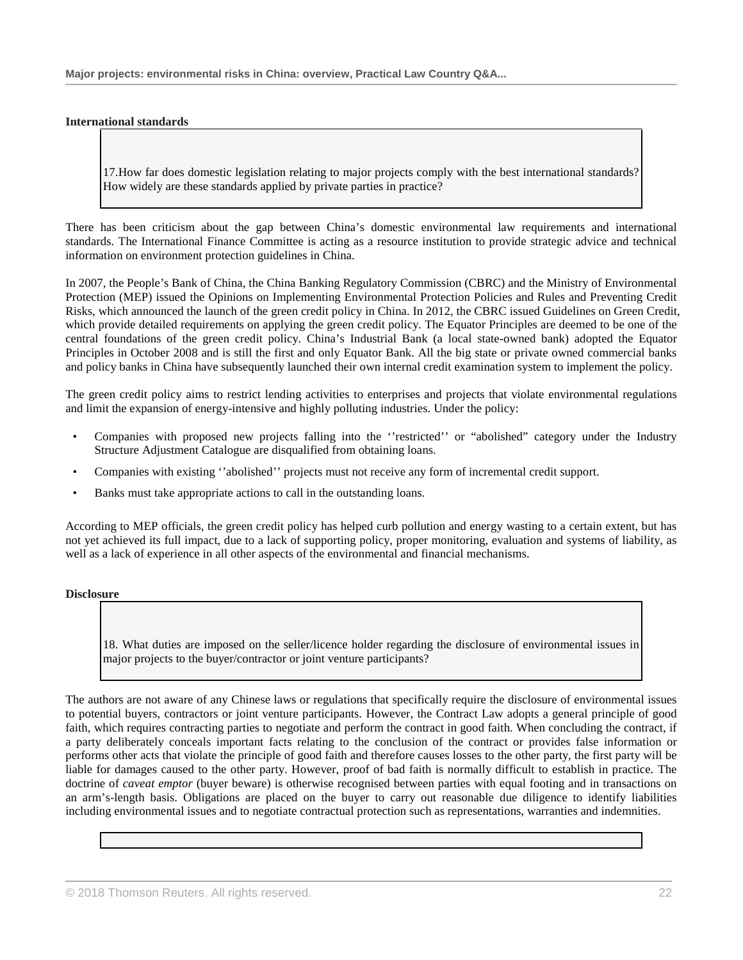#### **International standards**

17.How far does domestic legislation relating to major projects comply with the best international standards? How widely are these standards applied by private parties in practice?

There has been criticism about the gap between China's domestic environmental law requirements and international standards. The International Finance Committee is acting as a resource institution to provide strategic advice and technical information on environment protection guidelines in China.

In 2007, the People's Bank of China, the China Banking Regulatory Commission (CBRC) and the Ministry of Environmental Protection (MEP) issued the Opinions on Implementing Environmental Protection Policies and Rules and Preventing Credit Risks, which announced the launch of the green credit policy in China. In 2012, the CBRC issued Guidelines on Green Credit, which provide detailed requirements on applying the green credit policy. The Equator Principles are deemed to be one of the central foundations of the green credit policy. China's Industrial Bank (a local state-owned bank) adopted the Equator Principles in October 2008 and is still the first and only Equator Bank. All the big state or private owned commercial banks and policy banks in China have subsequently launched their own internal credit examination system to implement the policy.

The green credit policy aims to restrict lending activities to enterprises and projects that violate environmental regulations and limit the expansion of energy-intensive and highly polluting industries. Under the policy:

- Companies with proposed new projects falling into the ''restricted'' or "abolished" category under the Industry Structure Adjustment Catalogue are disqualified from obtaining loans.
- Companies with existing ''abolished'' projects must not receive any form of incremental credit support.
- Banks must take appropriate actions to call in the outstanding loans.

According to MEP officials, the green credit policy has helped curb pollution and energy wasting to a certain extent, but has not yet achieved its full impact, due to a lack of supporting policy, proper monitoring, evaluation and systems of liability, as well as a lack of experience in all other aspects of the environmental and financial mechanisms.

#### **Disclosure**

18. What duties are imposed on the seller/licence holder regarding the disclosure of environmental issues in major projects to the buyer/contractor or joint venture participants?

The authors are not aware of any Chinese laws or regulations that specifically require the disclosure of environmental issues to potential buyers, contractors or joint venture participants. However, the Contract Law adopts a general principle of good faith, which requires contracting parties to negotiate and perform the contract in good faith. When concluding the contract, if a party deliberately conceals important facts relating to the conclusion of the contract or provides false information or performs other acts that violate the principle of good faith and therefore causes losses to the other party, the first party will be liable for damages caused to the other party. However, proof of bad faith is normally difficult to establish in practice. The doctrine of *caveat emptor* (buyer beware) is otherwise recognised between parties with equal footing and in transactions on an arm's-length basis. Obligations are placed on the buyer to carry out reasonable due diligence to identify liabilities including environmental issues and to negotiate contractual protection such as representations, warranties and indemnities.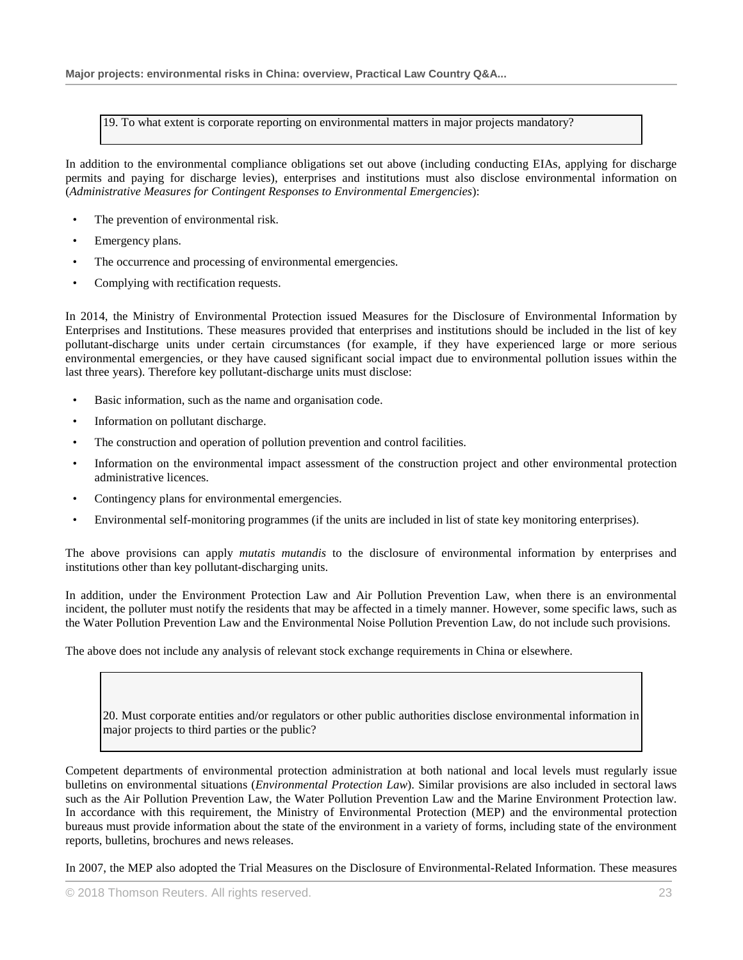19. To what extent is corporate reporting on environmental matters in major projects mandatory?

In addition to the environmental compliance obligations set out above (including conducting EIAs, applying for discharge permits and paying for discharge levies), enterprises and institutions must also disclose environmental information on (*Administrative Measures for Contingent Responses to Environmental Emergencies*):

- The prevention of environmental risk.
- Emergency plans.
- The occurrence and processing of environmental emergencies.
- Complying with rectification requests.

In 2014, the Ministry of Environmental Protection issued Measures for the Disclosure of Environmental Information by Enterprises and Institutions. These measures provided that enterprises and institutions should be included in the list of key pollutant-discharge units under certain circumstances (for example, if they have experienced large or more serious environmental emergencies, or they have caused significant social impact due to environmental pollution issues within the last three years). Therefore key pollutant-discharge units must disclose:

- Basic information, such as the name and organisation code.
- Information on pollutant discharge.
- The construction and operation of pollution prevention and control facilities.
- Information on the environmental impact assessment of the construction project and other environmental protection administrative licences.
- Contingency plans for environmental emergencies.
- Environmental self-monitoring programmes (if the units are included in list of state key monitoring enterprises).

The above provisions can apply *mutatis mutandis* to the disclosure of environmental information by enterprises and institutions other than key pollutant-discharging units.

In addition, under the Environment Protection Law and Air Pollution Prevention Law, when there is an environmental incident, the polluter must notify the residents that may be affected in a timely manner. However, some specific laws, such as the Water Pollution Prevention Law and the Environmental Noise Pollution Prevention Law, do not include such provisions.

The above does not include any analysis of relevant stock exchange requirements in China or elsewhere.

20. Must corporate entities and/or regulators or other public authorities disclose environmental information in major projects to third parties or the public?

Competent departments of environmental protection administration at both national and local levels must regularly issue bulletins on environmental situations (*Environmental Protection Law*). Similar provisions are also included in sectoral laws such as the Air Pollution Prevention Law, the Water Pollution Prevention Law and the Marine Environment Protection law. In accordance with this requirement, the Ministry of Environmental Protection (MEP) and the environmental protection bureaus must provide information about the state of the environment in a variety of forms, including state of the environment reports, bulletins, brochures and news releases.

In 2007, the MEP also adopted the Trial Measures on the Disclosure of Environmental-Related Information. These measures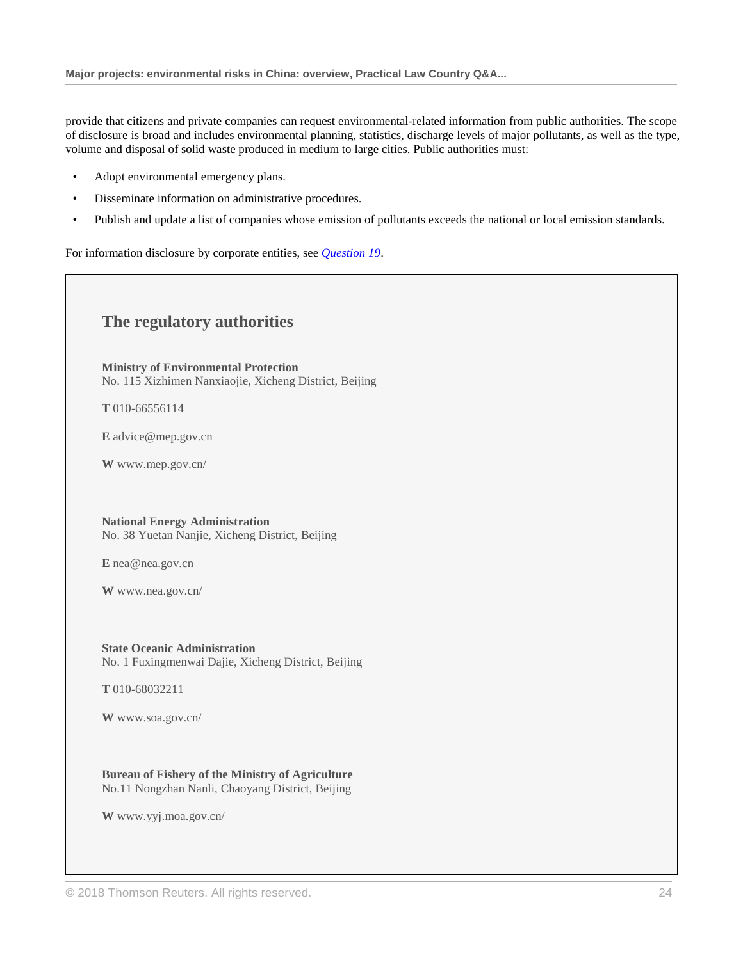provide that citizens and private companies can request environmental-related information from public authorities. The scope of disclosure is broad and includes environmental planning, statistics, discharge levels of major pollutants, as well as the type, volume and disposal of solid waste produced in medium to large cities. Public authorities must:

- Adopt environmental emergency plans.
- Disseminate information on administrative procedures.
- Publish and update a list of companies whose emission of pollutants exceeds the national or local emission standards.

For information disclosure by corporate entities, see *Question 19*.

# **The regulatory authorities**

**Ministry of Environmental Protection** No. 115 Xizhimen Nanxiaojie, Xicheng District, Beijing

**T** 010-66556114

**E** advice@mep.gov.cn

**W** www.mep.gov.cn/

**National Energy Administration** No. 38 Yuetan Nanjie, Xicheng District, Beijing

**E** nea@nea.gov.cn

**W** www.nea.gov.cn/

**State Oceanic Administration** No. 1 Fuxingmenwai Dajie, Xicheng District, Beijing

**T** 010-68032211

**W** www.soa.gov.cn/

**Bureau of Fishery of the Ministry of Agriculture** No.11 Nongzhan Nanli, Chaoyang District, Beijing

**W** www.yyj.moa.gov.cn/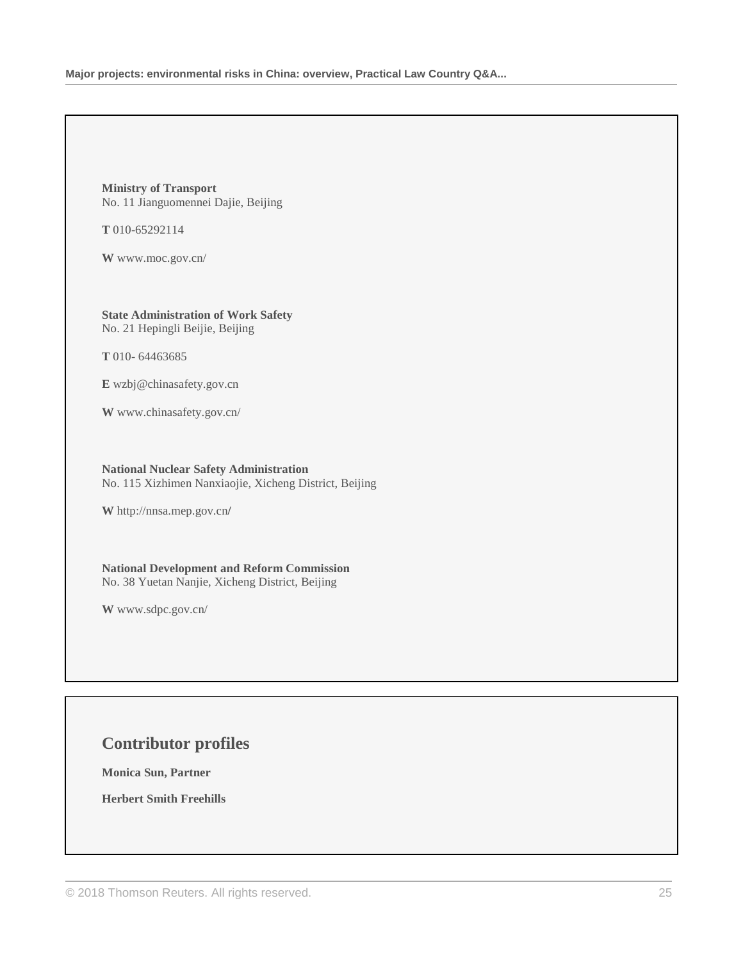**Ministry of Transport** No. 11 Jianguomennei Dajie, Beijing

**T** 010-65292114

**W** www.moc.gov.cn/

**State Administration of Work Safety** No. 21 Hepingli Beijie, Beijing

**T** 010- 64463685

**E** wzbj@chinasafety.gov.cn

**W** www.chinasafety.gov.cn/

**National Nuclear Safety Administration** No. 115 Xizhimen Nanxiaojie, Xicheng District, Beijing

**W** http://nnsa.mep.gov.cn**/**

**National Development and Reform Commission** No. 38 Yuetan Nanjie, Xicheng District, Beijing

**W** www.sdpc.gov.cn/

# **Contributor profiles**

**Monica Sun, Partner**

**Herbert Smith Freehills**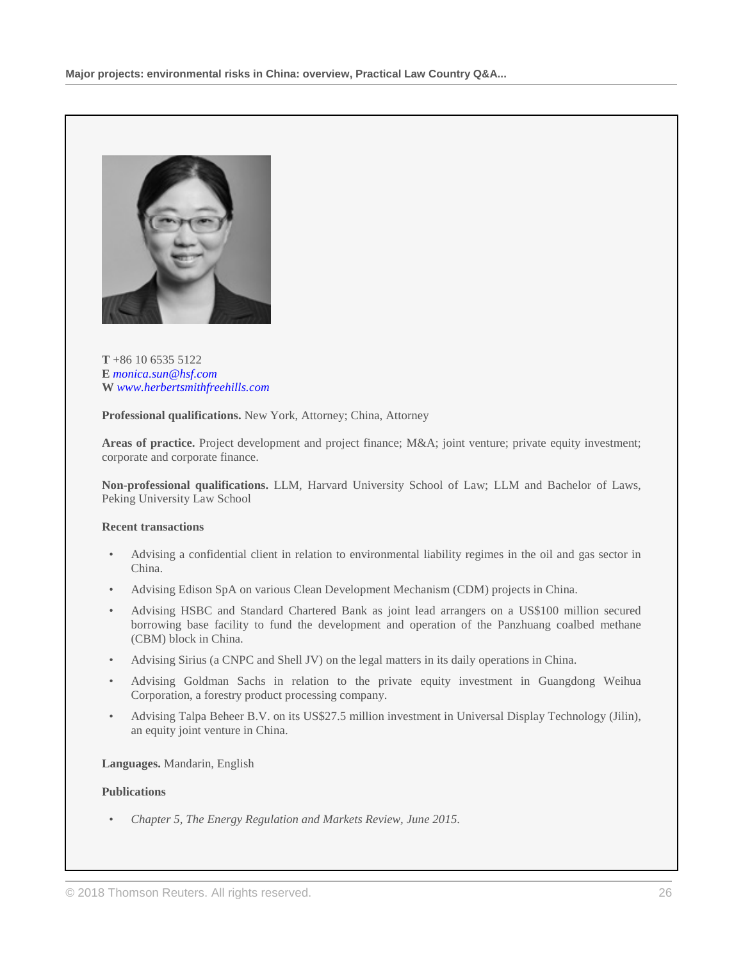

### **T** +86 10 6535 5122 **E** *[monica.sun@hsf.com](mailto:monica.sun@hsf.com)* **W** *[www.herbertsmithfreehills.com](http://www.herbertsmithfreehills.com/)*

**Professional qualifications.** New York, Attorney; China, Attorney

**Areas of practice.** Project development and project finance; M&A; joint venture; private equity investment; corporate and corporate finance.

**Non-professional qualifications.** LLM, Harvard University School of Law; LLM and Bachelor of Laws, Peking University Law School

#### **Recent transactions**

- Advising a confidential client in relation to environmental liability regimes in the oil and gas sector in China.
- Advising Edison SpA on various Clean Development Mechanism (CDM) projects in China.
- Advising HSBC and Standard Chartered Bank as joint lead arrangers on a US\$100 million secured borrowing base facility to fund the development and operation of the Panzhuang coalbed methane (CBM) block in China.
- Advising Sirius (a CNPC and Shell JV) on the legal matters in its daily operations in China.
- Advising Goldman Sachs in relation to the private equity investment in Guangdong Weihua Corporation, a forestry product processing company.
- Advising Talpa Beheer B.V. on its US\$27.5 million investment in Universal Display Technology (Jilin), an equity joint venture in China.

#### **Languages.** Mandarin, English

#### **Publications**

• *Chapter 5, The Energy Regulation and Markets Review, June 2015*.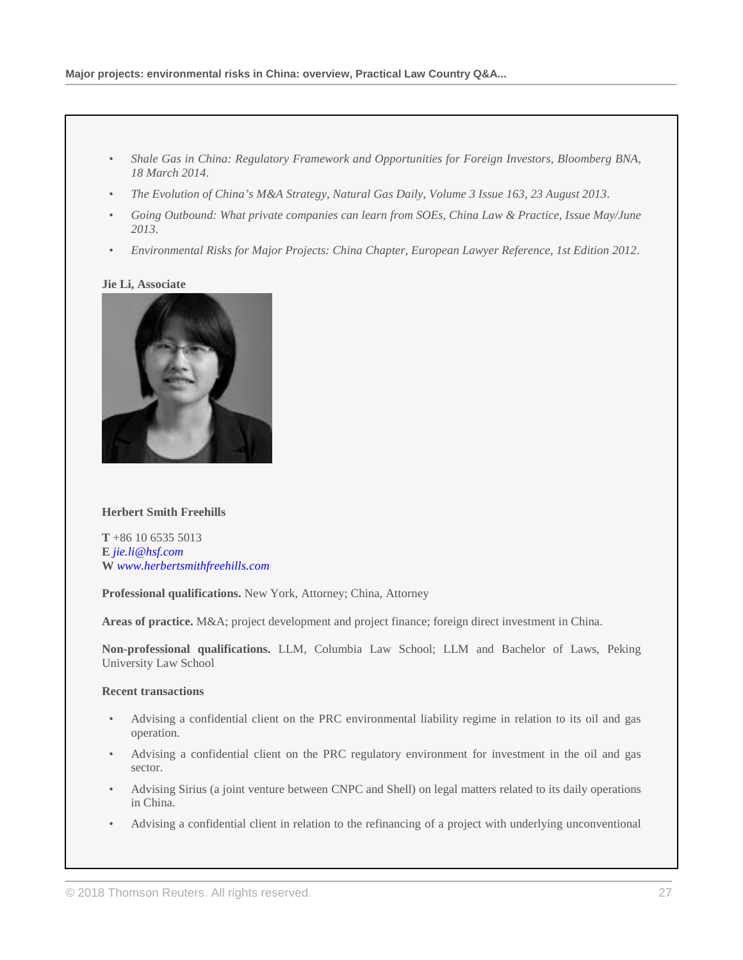- *Shale Gas in China: Regulatory Framework and Opportunities for Foreign Investors, Bloomberg BNA, 18 March 2014*.
- *The Evolution of China's M&A Strategy, Natural Gas Daily, Volume 3 Issue 163, 23 August 2013*.
- *Going Outbound: What private companies can learn from SOEs, China Law & Practice, Issue May/June 2013*.
- *Environmental Risks for Major Projects: China Chapter, European Lawyer Reference, 1st Edition 2012*.

### **[Jie Li, Associate](http://uk.practicallaw.thomsonreuters.com/Link/Document/Blob/I53648ddc086011e798dc8b09b4f043e0.png?targetType=inline&originationContext=document&vr=3.0&rs=PLUK1.0&transitionType=DocumentImage&contextData=(sc.Search))**



# **Herbert Smith Freehills**

**T** +86 10 6535 5013 **E** *[jie.li@hsf.com](mailto:jie.li@hsf.com)* **W** *[www.herbertsmithfreehills.com](http://www.herbertsmithfreehills.com/)*

**Professional qualifications.** New York, Attorney; China, Attorney

**Areas of practice.** M&A; project development and project finance; foreign direct investment in China.

**Non-professional qualifications.** LLM, Columbia Law School; LLM and Bachelor of Laws, Peking University Law School

# **Recent transactions**

- Advising a confidential client on the PRC environmental liability regime in relation to its oil and gas operation.
- Advising a confidential client on the PRC regulatory environment for investment in the oil and gas sector.
- Advising Sirius (a joint venture between CNPC and Shell) on legal matters related to its daily operations in China.
- Advising a confidential client in relation to the refinancing of a project with underlying unconventional